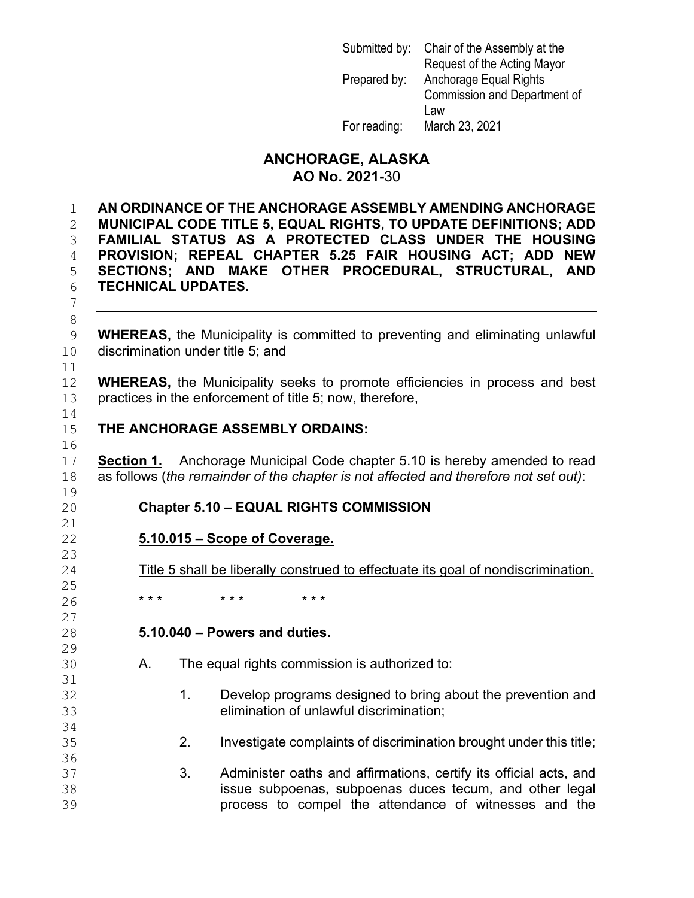| Submitted by: | Chair of the Assembly at the |
|---------------|------------------------------|
|               | Request of the Acting Mayor  |
| Prepared by:  | Anchorage Equal Rights       |
|               | Commission and Department of |
|               | Law                          |
| For reading:  | March 23, 2021               |

### **ANCHORAGE, ALASKA AO No. 2021-**30

 **AN ORDINANCE OF THE ANCHORAGE ASSEMBLY AMENDING ANCHORAGE MUNICIPAL CODE TITLE 5, EQUAL RIGHTS, TO UPDATE DEFINITIONS; ADD FAMILIAL STATUS AS A PROTECTED CLASS UNDER THE HOUSING PROVISION; REPEAL CHAPTER 5.25 FAIR HOUSING ACT; ADD NEW SECTIONS; AND MAKE OTHER PROCEDURAL, STRUCTURAL, AND TECHNICAL UPDATES.**

9 **WHEREAS,** the Municipality is committed to preventing and eliminating unlawful <br>10 discrimination under title 5: and discrimination under title 5; and

12 **WHEREAS,** the Municipality seeks to promote efficiencies in process and best practices in the enforcement of title 5: now therefore. practices in the enforcement of title 5; now, therefore,

### **THE ANCHORAGE ASSEMBLY ORDAINS:**

17 **Section 1.** Anchorage Municipal Code chapter 5.10 is hereby amended to read<br>18 **Sections** (the remainder of the chapter is not affected and therefore not set out) 18 as follows (*the remainder of the chapter is not affected and therefore not set out)*:

#### 20 **Chapter 5.10 – EQUAL RIGHTS COMMISSION**

#### 22 **5.10.015 – Scope of Coverage.**

Title 5 shall be liberally construed to effectuate its goal of nondiscrimination.

26 **\*\*\* \*\*\* \*\*\*** \*\*\*

#### 28 **5.10.040 – Powers and duties.**

- A. The equal rights commission is authorized to:
- 32 1. Develop programs designed to bring about the prevention and<br>33 elimination of unlawful discrimination: elimination of unlawful discrimination;
	- 35 2. Investigate complaints of discrimination brought under this title;
- 37 3. Administer oaths and affirmations, certify its official acts, and<br>38 38 issue subpoenas, subpoenas duces tecum, and other legal<br>39 **increases to compel the attendance of witnesses and the** process to compel the attendance of witnesses and the

 $\frac{11}{12}$  $\frac{14}{15}$ 16<br>17

 $\frac{19}{20}$ 

 $\frac{21}{22}$ 

23<br>24

 $\frac{25}{26}$ 

 $\frac{27}{28}$ 

 $\frac{29}{30}$ 

31<br>32

34<br>35

36<br>37

7

8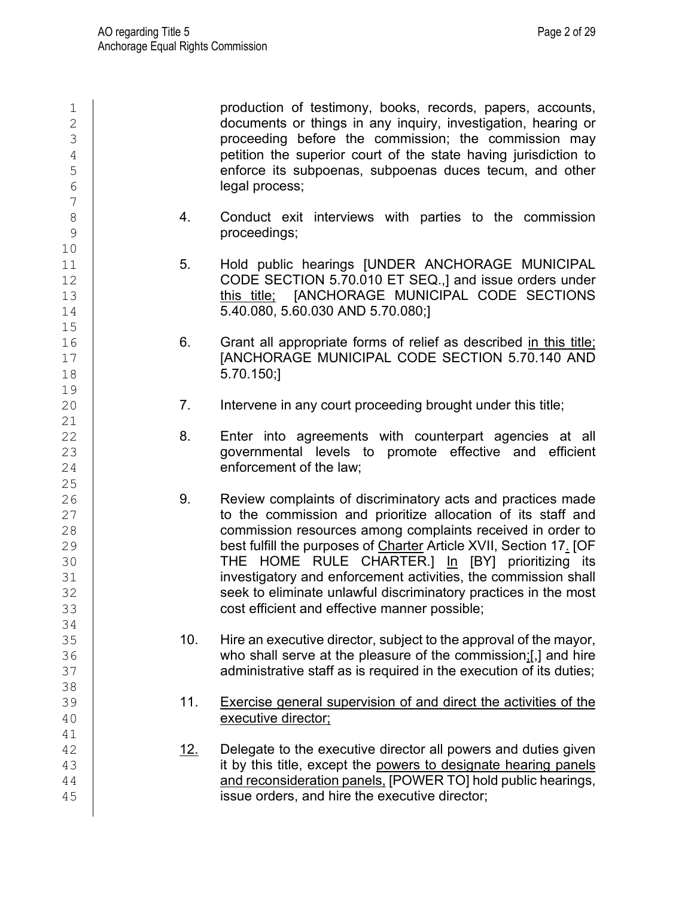| $\mathbf 1$<br>$\overline{2}$<br>3<br>$\sqrt{4}$<br>5<br>$6\phantom{.}6$<br>$\overline{7}$ |             | production of testimony, books, records, papers, accounts,<br>documents or things in any inquiry, investigation, hearing or<br>proceeding before the commission; the commission may<br>petition the superior court of the state having jurisdiction to<br>enforce its subpoenas, subpoenas duces tecum, and other<br>legal process;                                                                                                                                                                       |
|--------------------------------------------------------------------------------------------|-------------|-----------------------------------------------------------------------------------------------------------------------------------------------------------------------------------------------------------------------------------------------------------------------------------------------------------------------------------------------------------------------------------------------------------------------------------------------------------------------------------------------------------|
| $\,8\,$<br>9                                                                               | 4.          | Conduct exit interviews with parties to the commission<br>proceedings;                                                                                                                                                                                                                                                                                                                                                                                                                                    |
| 10<br>11<br>12<br>13<br>14<br>15                                                           | 5.          | Hold public hearings [UNDER ANCHORAGE MUNICIPAL<br>CODE SECTION 5.70.010 ET SEQ.,] and issue orders under<br>this title; [ANCHORAGE MUNICIPAL CODE SECTIONS<br>5.40.080, 5.60.030 AND 5.70.080;]                                                                                                                                                                                                                                                                                                          |
| 16<br>17<br>18<br>19                                                                       | 6.          | Grant all appropriate forms of relief as described in this title;<br>[ANCHORAGE MUNICIPAL CODE SECTION 5.70.140 AND<br>5.70.150;]                                                                                                                                                                                                                                                                                                                                                                         |
| 20<br>21                                                                                   | 7.          | Intervene in any court proceeding brought under this title;                                                                                                                                                                                                                                                                                                                                                                                                                                               |
| 22<br>23<br>24                                                                             | 8.          | Enter into agreements with counterpart agencies at all<br>governmental levels to promote effective and efficient<br>enforcement of the law;                                                                                                                                                                                                                                                                                                                                                               |
| 25<br>26<br>27<br>28<br>29<br>30<br>31<br>32<br>33                                         | 9.          | Review complaints of discriminatory acts and practices made<br>to the commission and prioritize allocation of its staff and<br>commission resources among complaints received in order to<br>best fulfill the purposes of Charter Article XVII, Section 17. [OF<br>THE HOME RULE CHARTER.] In [BY] prioritizing its<br>investigatory and enforcement activities, the commission shall<br>seek to eliminate unlawful discriminatory practices in the most<br>cost efficient and effective manner possible; |
| 34<br>35<br>36<br>37                                                                       | 10.         | Hire an executive director, subject to the approval of the mayor,<br>who shall serve at the pleasure of the commission;[,] and hire<br>administrative staff as is required in the execution of its duties;                                                                                                                                                                                                                                                                                                |
| 38<br>39<br>40                                                                             | 11.         | Exercise general supervision of and direct the activities of the<br>executive director;                                                                                                                                                                                                                                                                                                                                                                                                                   |
| 41<br>42<br>43<br>44<br>45                                                                 | <u> 12.</u> | Delegate to the executive director all powers and duties given<br>it by this title, except the powers to designate hearing panels<br>and reconsideration panels, [POWER TO] hold public hearings,<br>issue orders, and hire the executive director;                                                                                                                                                                                                                                                       |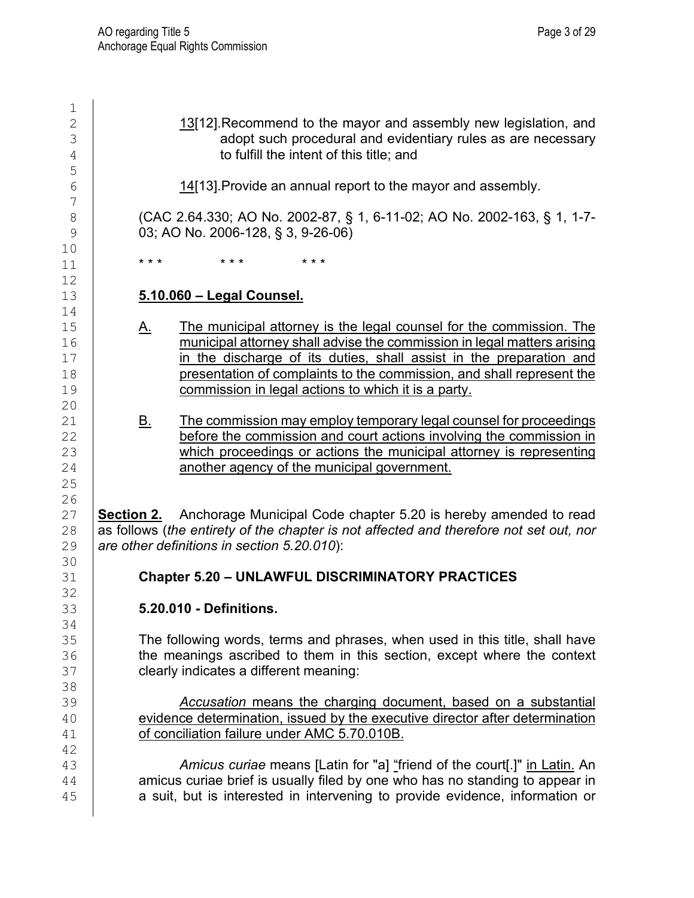$\frac{1}{2}$  $\begin{array}{r} 2 \ 3 \end{array}$  13[12].Recommend to the mayor and assembly new legislation, and<br>adopt such procedural and evidentiary rules as are necessary  $\begin{array}{c|c}\n 3 \\
 4\n \end{array}$  adopt such procedural and evidentiary rules as are necessary<br>
to fulfill the intent of this title: and to fulfill the intent of this title; and 5 14[13]. Provide an annual report to the mayor and assembly. 7 8 (CAC 2.64.330; AO No. 2002-87, § 1, 6-11-02; AO No. 2002-163, § 1, 1-7-<br>9 (03: AO No. 2006-128, § 3, 9-26-06) 9 03; AO No. 2006-128, § 3, 9-26-06) 10<br>11 11 \*\*\* \*\*\* \*\*\* \*\*\* 12 13 **5.10.060 – Legal Counsel.** 14<br>15 15 A. The municipal attorney is the legal counsel for the commission. The 16 September 2016 attorney shall advise the commission in legal matters arising 16 municipal attorney shall advise the commission in legal matters arising<br>17 **https://www.ingeliteral material constructs** and in the preparation and in the discharge of its duties, shall assist in the preparation and 18 presentation of complaints to the commission, and shall represent the commission in legal actions to which it is a party commission in legal actions to which it is a party. 20<br>21 21 B. The commission may employ temporary legal counsel for proceedings<br>22 before the commission and court actions involving the commission in before the commission and court actions involving the commission in 23 which proceedings or actions the municipal attorney is representing<br>24 another agency of the municipal government. another agency of the municipal government. 25 26<br>27 27 **Section 2.** Anchorage Municipal Code chapter 5.20 is hereby amended to read<br>28 as follows (the entirety of the chapter is not affected and therefore not set out, nor 28 as follows (*the entirety of the chapter is not affected and therefore not set out, nor*  $29$  are other definitions in section 5.20.010): 29 *are other definitions in section 5.20.010*): 30<br>31 31 **Chapter 5.20 – UNLAWFUL DISCRIMINATORY PRACTICES** 32<br>33 33 **5.20.010 - Definitions.**  34 35 The following words, terms and phrases, when used in this title, shall have<br>36 **The meanings ascribed to them in this section, except where the context** the meanings ascribed to them in this section, except where the context 37 **Fig. 23** clearly indicates a different meaning: 38<br>39 39 *Accusation* means the charging document, based on a substantial 40 evidence determination, issued by the executive director after determination<br>41 of conciliation failure under AMC 5.70.010B. of conciliation failure under AMC 5.70.010B. 42 43 *Amicus curiae* means [Latin for "a] "friend of the court[.]" in Latin. An amicus curiae brief is usually filed by one who has no standing to appear in 45 **a** suit, but is interested in intervening to provide evidence, information or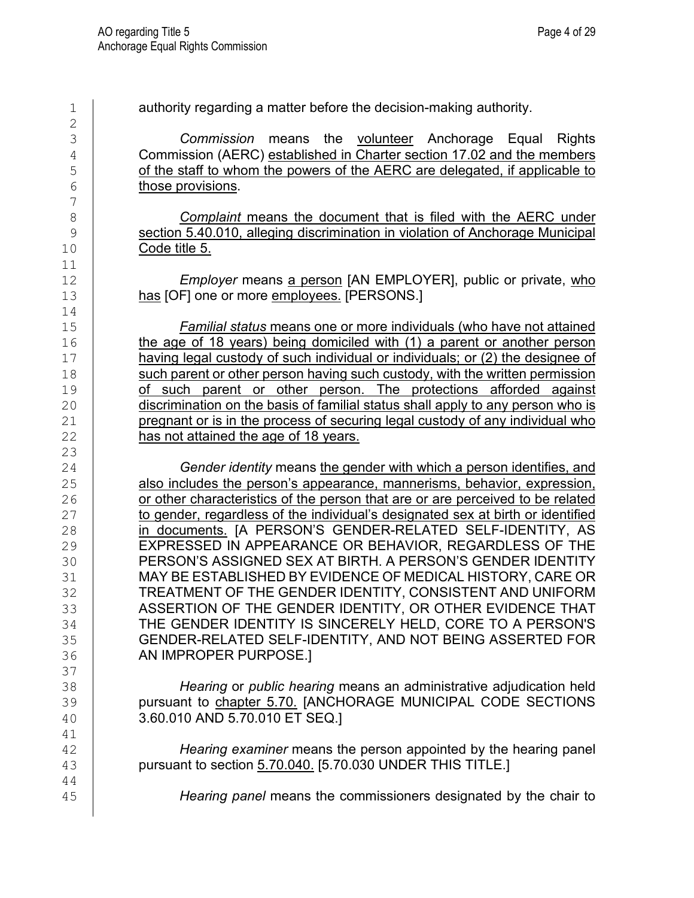$\frac{2}{3}$ 3 *Commission* means the volunteer Anchorage Equal Rights <sup>4</sup> Commission (AERC) established in Charter section 17.02 and the members<br>5 of the staff to whom the powers of the AERC are delegated, if applicable to 5 of the staff to whom the powers of the AERC are delegated, if applicable to those provisions. those provisions. 7 8 **Complaint means the document that is filed with the AERC under**<br>9 **COMPLAINED SECTS** Section 5.40.010, alleging discrimination in violation of Anchorage Municipal 9 section 5.40.010, alleging discrimination in violation of Anchorage Municipal<br>10 Code title 5. Code title 5. 11<br>12 Employer means a person [AN EMPLOYER], public or private, who 13 **has [OF] one or more employees. [PERSONS.]** 14<br>15 15 *Familial status* means one or more individuals (who have not attained 16 the age of 18 years) being domiciled with (1) a parent or another person<br>17 having legal custody of such individual or individuals; or (2) the designee of having legal custody of such individual or individuals; or (2) the designee of 18 such parent or other person having such custody, with the written permission<br>19 of such parent or other person. The protections afforded against 19 **of such parent or other person. The protections afforded against**<br>20 **oral discrimination on the basis of familial status shall apply to any person who is** 20 discrimination on the basis of familial status shall apply to any person who is<br>21 pregnant or is in the process of securing legal custody of any individual who 21 pregnant or is in the process of securing legal custody of any individual who  $22$  has not attained the age of 18 years. has not attained the age of 18 years. 23<br>24 <sup>24</sup> *Gender identity* means the gender with which a person identifies, and<br>25 **also includes the person's appearance, mannerisms, behavior, expression,** 25 also includes the person's appearance, mannerisms, behavior, expression,<br>26 or other characteristics of the person that are or are perceived to be related 26 or other characteristics of the person that are or are perceived to be related<br>27 to gender, regardless of the individual's designated sex at birth or identified 27 to gender, regardless of the individual's designated sex at birth or identified<br>28 in documents. [A PERSON'S GENDER-RELATED SELF-IDENTITY, AS 28 in documents. [A PERSON'S GENDER-RELATED SELF-IDENTITY, AS<br>29 EXPRESSED IN APPEARANCE OR BEHAVIOR, REGARDLESS OF THE 29 EXPRESSED IN APPEARANCE OR BEHAVIOR, REGARDLESS OF THE 30 FERSON'S ASSIGNED SEX AT BIRTH. A PERSON'S GENDER IDENTITY 30 PERSON'S ASSIGNED SEX AT BIRTH. A PERSON'S GENDER IDENTITY<br>31 MAY BE ESTABLISHED BY EVIDENCE OF MEDICAL HISTORY. CARE OR 31 MAY BE ESTABLISHED BY EVIDENCE OF MEDICAL HISTORY, CARE OR<br>32 TREATMENT OF THE GENDER IDENTITY, CONSISTENT AND UNIFORM 32 TREATMENT OF THE GENDER IDENTITY, CONSISTENT AND UNIFORM<br>33 ASSERTION OF THE GENDER IDENTITY, OR OTHER EVIDENCE THAT 33 ASSERTION OF THE GENDER IDENTITY, OR OTHER EVIDENCE THAT  $\frac{34}{100}$ THE GENDER IDENTITY IS SINCERELY HELD, CORE TO A PERSON'S 35 GENDER-RELATED SELF-IDENTITY, AND NOT BEING ASSERTED FOR<br>36 AN IMPROPER PURPOSE.] AN IMPROPER PURPOSE.] 37<br>38 38 *Hearing* or *public hearing* means an administrative adjudication held 39 pursuant to chapter 5.70. [ANCHORAGE MUNICIPAL CODE SECTIONS<br>40 3.60.010 AND 5.70.010 ET SEQ.1 40 3.60.010 AND 5.70.010 ET SEQ.] 41<br>42 Hearing examiner means the person appointed by the hearing panel 43 **pursuant to section 5.70.040. [5.70.030 UNDER THIS TITLE.]** 44 45 *Hearing panel* means the commissioners designated by the chair to

1 authority regarding a matter before the decision-making authority.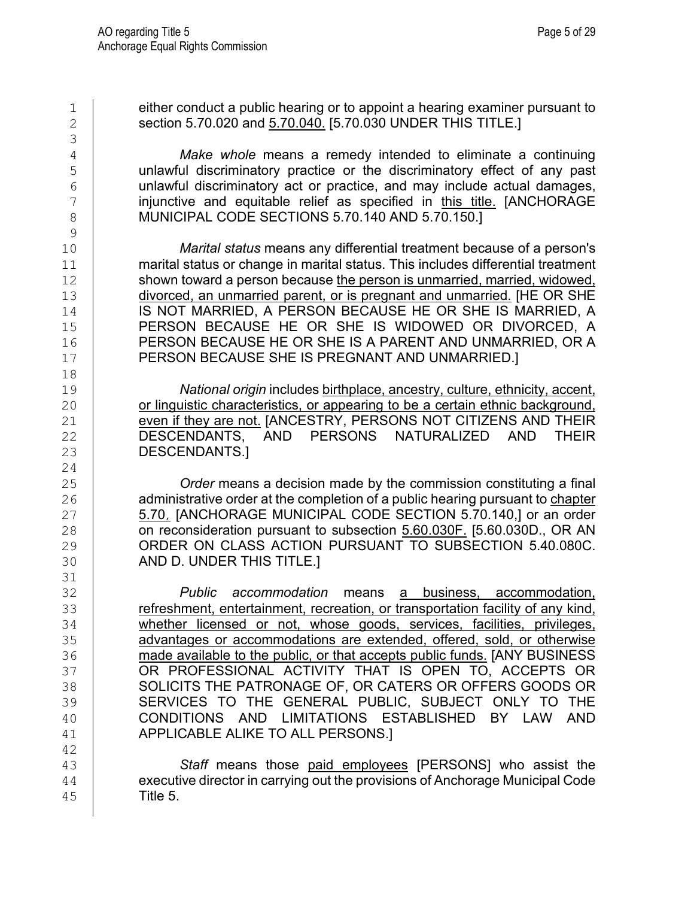1 either conduct a public hearing or to appoint a hearing examiner pursuant to<br>2 section 5.70.020 and 5.70.040. [5.70.030 UNDER THIS TITLE.] 2 section 5.70.020 and 5.70.040. [5.70.030 UNDER THIS TITLE.] 3 4 *Make whole* means a remedy intended to eliminate a continuing 5 component unlawful discriminatory practice or the discriminatory effect of any past<br>6 component unlawful discriminatory act or practice, and may include actual damages. 6 componlamed unlawful discriminatory act or practice, and may include actual damages,<br>  $\frac{1}{7}$  component in this title. [ANCHORAGE] 7 injunctive and equitable relief as specified in <u>this title.</u> [ANCHORAGE | MUNICIPAL CODE SECTIONS 5.70.140 AND 5.70.150.1 MUNICIPAL CODE SECTIONS 5.70.140 AND 5.70.150.]  $\frac{9}{10}$ 10 *Marital status* means any differential treatment because of a person's 11 http://www.marital status or change in marital status. This includes differential treatment<br>12 http://www.marital.com/because the person is unmarried, married, widowed, shown toward a person because the person is unmarried, married, widowed, 13 divorced, an unmarried parent, or is pregnant and unmarried. [HE OR SHE 14 | IS NOT MARRIED. A IS NOT MARRIED, A PERSON BECAUSE HE OR SHE IS MARRIED, A 15 PERSON BECAUSE HE OR SHE IS WIDOWED OR DIVORCED, A<br>16 PERSON BECAUSE HE OR SHE IS A PARENT AND UNMARRIED, OR A 16 PERSON BECAUSE HE OR SHE IS A PARENT AND UNMARRIED, OR A<br>17 PERSON BECAUSE SHE IS PREGNANT AND UNMARRIED. PERSON BECAUSE SHE IS PREGNANT AND UNMARRIED.] 18<br>19 19 **National origin includes birthplace, ancestry, culture, ethnicity, accent,**<br>20 **permion of linguistic characteristics, or appearing to be a certain ethnic background,** 20 or linguistic characteristics, or appearing to be a certain ethnic background,<br>21 even if they are not. IANCESTRY, PERSONS NOT CITIZENS AND THEIR 21 even if they are not. [ANCESTRY, PERSONS NOT CITIZENS AND THEIR<br>22 DESCENDANTS, AND PERSONS NATURALIZED AND THEIR DESCENDANTS, 23 DESCENDANTS.  $\frac{24}{25}$ 25 *Order* means a decision made by the commission constituting a final<br>26 **administrative order at the completion of a public hearing pursuant to chapter** 26 administrative order at the completion of a public hearing pursuant to chapter<br>27 5.70, JANCHORAGE MUNICIPAL CODE SECTION 5.70.140.] or an order 27 **5.70, [ANCHORAGE MUNICIPAL CODE SECTION 5.70.140,] or an order** 28 **on reconsideration pursuant to subsection 5.60.030F.** [5.60.030D., OR AN 28 on reconsideration pursuant to subsection **5.60.030F.** [5.60.030D., OR AN 29 connection CASS ACTION PURSUANT TO SUBSECTION 5.40.080C. 29 ORDER ON CLASS ACTION PURSUANT TO SUBSECTION 5.40.080C.<br>30 AND D. UNDER THIS TITLE.] AND D. UNDER THIS TITLE.] 31<br>32 32 *Public accommodation* means a business, accommodation, 33 **refreshment, entertainment, recreation, or transportation facility of any kind,**<br>34 **http://www.freepeater.commental control of the mode of the mode of the whether** whether licensed or not, whose goods, services, facilities, privileges, 35 advantages or accommodations are extended, offered, sold, or otherwise<br>36 made available to the public, or that accepts public funds. [ANY BUSINESS] made available to the public, or that accepts public funds. [ANY BUSINESS 37 CORPROFESSIONAL ACTIVITY THAT IS OPEN TO, ACCEPTS OR ACCEPTS OR SOLICITS THE PATRONAGE OF OR CATERS OR OFFERS GOODS OR 38 SOLICITS THE PATRONAGE OF, OR CATERS OR OFFERS GOODS OR (39 SERVICES TO THE GENERAL PUBLIC. SUBJECT ONLY TO THE 39 SERVICES TO THE GENERAL PUBLIC, SUBJECT ONLY TO THE GENERAL PUBLIC, SUBJECT ONLY TO THE SAND LIMITATIONS ESTABLISHED BY LAW AND 40 CONDITIONS AND LIMITATIONS ESTABLISHED BY LAW AND<br>41 APPLICABLE ALIKE TO ALL PERSONS.1 41 APPLICABLE ALIKE TO ALL PERSONS.] 42 43 **Staff** means those <u>paid employees</u> [PERSONS] who assist the 44 **Staff** means those paid employees [PERSONS] who assist the 44 executive director in carrying out the provisions of Anchorage Municipal Code 45 Title 5.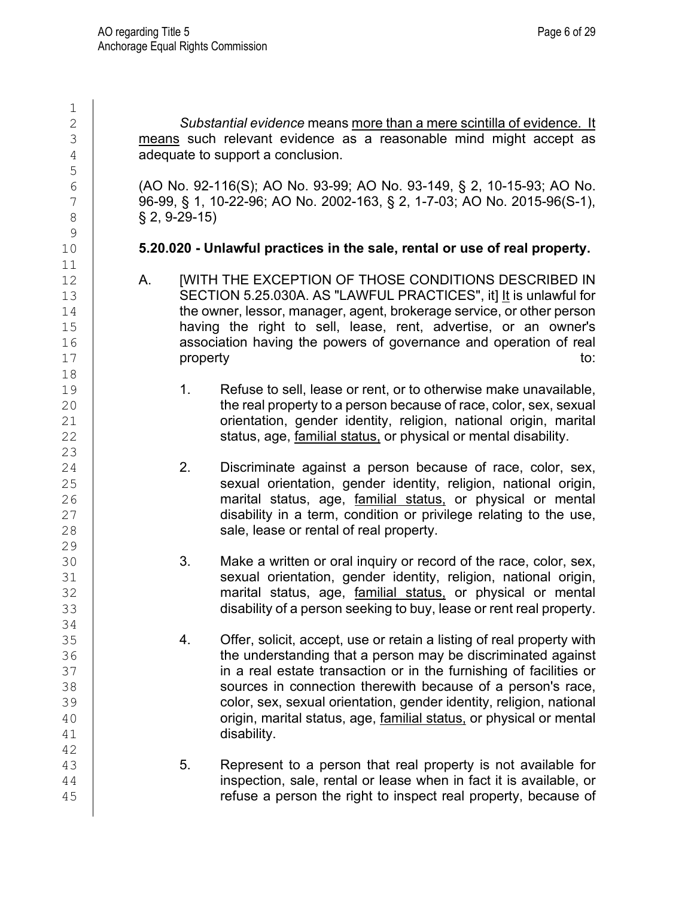$\frac{1}{2}$ 

5

 $\frac{9}{10}$ 

11<br>12

18<br>19

23

29<br>30

34

42

2 *Substantial evidence* means more than a mere scintilla of evidence. It  $\frac{3}{4}$  means such relevant evidence as a reasonable mind might accept as  $\frac{4}{4}$ adequate to support a conclusion.

6 (AO No. 92-116(S); AO No. 93-99; AO No. 93-149, § 2, 10-15-93; AO No.<br>7 (96-99, § 1, 10-22-96; AO No. 2002-163, § 2, 1-7-03; AO No. 2015-96(S-1).  $\begin{array}{c|c} 7 & 96-99, \, \S~1, \, 10-22-96; \, \text{AO No. 2002-163}, \, \S~2, \, 1-7-03; \, \text{AO No. 2015-96(S-1)}, \ \S~2. \, 9-29-15 \end{array}$ 8 § 2, 9-29-15)

#### 10 **5.20.020 - Unlawful practices in the sale, rental or use of real property.**

- A. [WITH THE EXCEPTION OF THOSE CONDITIONS DESCRIBED IN 13 SECTION 5.25.030A. AS "LAWFUL PRACTICES", it] It is unlawful for<br>14 the owner. lessor. manager. agent. brokerage service. or other person 14 the owner, lessor, manager, agent, brokerage service, or other person<br>15 **having the right to sell, lease, rent, advertise, or an owner's** 15 having the right to sell, lease, rent, advertise, or an owner's<br>16 association having the powers of governance and operation of real 16 association having the powers of governance and operation of real<br>17 **property** to: 17 **property** to:
- 19 1. Refuse to sell, lease or rent, or to otherwise make unavailable,<br>20 the real property to a person because of race, color, sex, sexual 20 the real property to a person because of race, color, sex, sexual<br>21 correntation, qender identity, religion, national origin, marital 21 corientation, gender identity, religion, national origin, marital late to status, age, familial status, or physical or mental disability. status, age, familial status, or physical or mental disability.
- 24 2. Discriminate against a person because of race, color, sex,<br>25 **25** Sexual orientation, gender identity, religion, national origin, 25 sexual orientation, gender identity, religion, national origin,<br>26 marital status, age, familial status, or physical or mental 26 marital status, age, <u>familial status,</u> or physical or mental<br>27 disability in a term, condition or privilege relating to the use, 27 disability in a term, condition or privilege relating to the use,<br>28 sale, lease or rental of real property. sale, lease or rental of real property.
- 30 3. Make a written or oral inquiry or record of the race, color, sex,<br>31 Sexual orientation, gender identity, religion, national origin, 31 sexual orientation, gender identity, religion, national origin,<br>32 sexual status, age, familial status, or physical or mental marital status, age, familial status, or physical or mental 33 disability of a person seeking to buy, lease or rent real property.
- 35 4. Offer, solicit, accept, use or retain a listing of real property with<br>36 the understanding that a person may be discriminated against 36 the understanding that a person may be discriminated against<br>37 **the understanding that a person may be discriminated against**<br>37 37 in a real estate transaction or in the furnishing of facilities or<br>38 **in connection therewith because of a person's race**, 38 sources in connection therewith because of a person's race,<br>39 color, sex, sexual orientation, gender identity, religion, national 39 color, sex, sexual orientation, gender identity, religion, national<br>40 origin, marital status, age, familial status, or physical or mental 40 **origin, marital status, age, <u>familial status,</u> or physical or mental** disability. disability.
- 43 13 5. Represent to a person that real property is not available for in fact it is available, or inspection, sale, rental or lease when in fact it is available, or 45 refuse a person the right to inspect real property, because of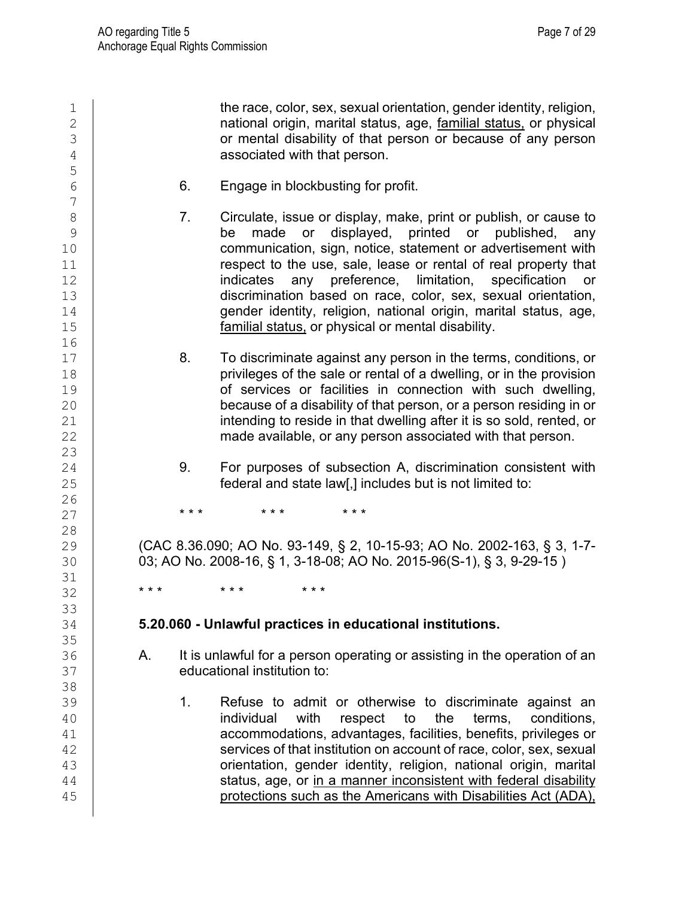1 the race, color, sex, sexual orientation, gender identity, religion,<br>2 **homogeneries analysis of the religion** national origin, marital status, age, familial status, or physical  $\begin{array}{c|c} 2 & \hspace{2.5cm} & \hspace{2.5cm} & \hspace{2.5cm} \textbf{national original status, age, } \textbf{familial status,} \textbf{ or physical} \ 3 & \hspace{2.5cm} & \hspace{2.5cm} & \hspace{2.5cm} & \hspace{2.5cm} & \hspace{2.5cm} & \hspace{2.5cm} & \hspace{2.5cm} & \hspace{2.5cm} & \hspace{2.5cm} & \hspace{2.5cm} & \hspace{2.5cm} & \hspace{2.5cm} & \hspace{2.5cm} & \hspace{2.5cm} & \hspace{2.$  $\begin{array}{c|c}\n3 \\
4\n\end{array}$  or mental disability of that person or because of any person  $\begin{array}{c|c}\n3\n\end{array}$ associated with that person. 5 6 6. Engage in blockbusting for profit. 7 8 7. Circulate, issue or display, make, print or publish, or cause to<br>8 be made or displayed, printed or published, any 9 be made or displayed, printed or published,<br>10 communication sign notice statement or advertisement 10 communication, sign, notice, statement or advertisement with<br>11 **communication**, sign, notice, statement or real property that 11 12 respect to the use, sale, lease or rental of real property that<br>12 indicates any preference, limitation, specification or any preference, 13 discrimination based on race, color, sex, sexual orientation,<br>14 dender identity, religion, national origin, marital status, age. 14 carry gender identity, religion, national origin, marital status, age,<br>15 carry familial status, or physical or mental disability. familial status, or physical or mental disability. 16<br>17 17 8. To discriminate against any person in the terms, conditions, or<br>18 **18** brivileges of the sale or rental of a dwelling, or in the provision 18 **privileges of the sale or rental of a dwelling, or in the provision**<br>19 **priority of services or facilities in connection with such dwelling.** 19 of services or facilities in connection with such dwelling,<br>20 because of a disability of that person, or a person residing in or 20 because of a disability of that person, or a person residing in or<br>21 **because of a disability of that dwelling after it is so sold, rented, or** 21 can intending to reside in that dwelling after it is so sold, rented, or and a made available, or any person associated with that person. made available, or any person associated with that person.  $\frac{23}{24}$ 24 9. For purposes of subsection A, discrimination consistent with<br>25 federal and state law[.] includes but is not limited to: federal and state law[,] includes but is not limited to:  $\frac{26}{27}$ 27 **\*\*\* \*\*\* \*\*\* \*\*\***  $\begin{array}{c} 28 \\ 29 \end{array}$ 29 (CAC 8.36.090; AO No. 93-149, § 2, 10-15-93; AO No. 2002-163, § 3, 1-7-<br>30 (03: AO No. 2008-16, § 1, 3-18-08; AO No. 2015-96(S-1), § 3, 9-29-15 03; AO No. 2008-16, § 1, 3-18-08; AO No. 2015-96(S-1), § 3, 9-29-15 ) 31<br>32 32 **\*\*\* \*\*\* \*\*\*** 33<br>34 34 **5.20.060 - Unlawful practices in educational institutions.** 35<br>36 36 A. It is unlawful for a person operating or assisting in the operation of an educational institution to: educational institution to: 38<br>39 39 1. Refuse to admit or otherwise to discriminate against an 40 **individual with respect to the terms, conditions,** 41 accommodations, advantages, facilities, benefits, privileges or<br>42 services of that institution on account of race, color, sex, sexual 42 services of that institution on account of race, color, sex, sexual<br>43 servicentation, qender identity, religion, national origin, marital 43 crientation, gender identity, religion, national origin, marital 44 status, age, or in a manner inconsistent with federal disability status, age, or in a manner inconsistent with federal disability 45 | protections such as the Americans with Disabilities Act (ADA),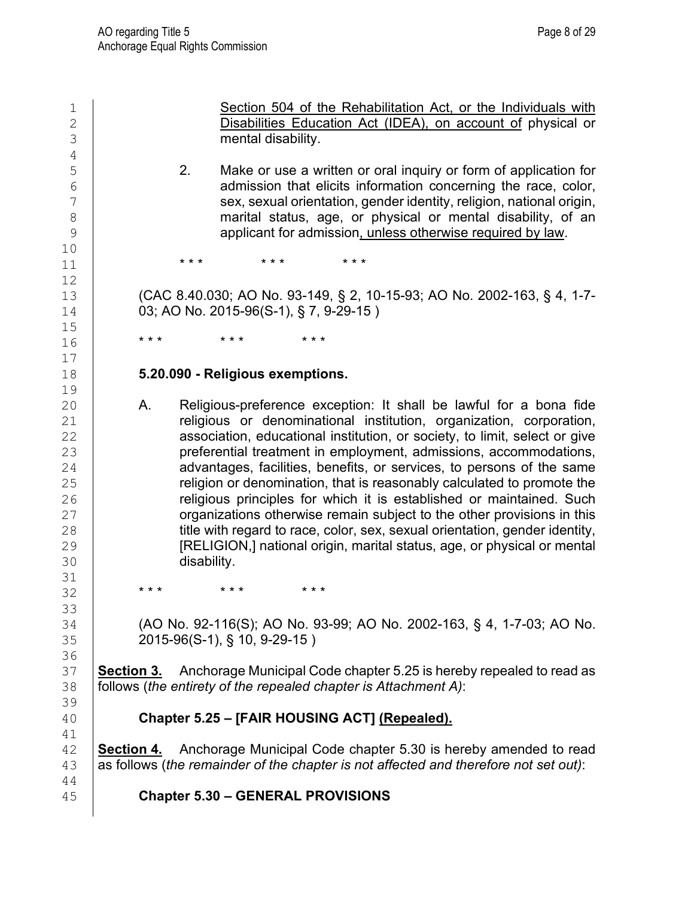1 Section 504 of the Rehabilitation Act, or the Individuals with<br>
Disabilities Education Act (IDEA), on account of physical or 2 Disabilities Education Act (IDEA), on account of physical or<br>3 mental disability. 4<br>5 5 2. Make or use a written or oral inquiry or form of application for<br>6 degrees admission that elicits information concerning the race, color,  $\begin{array}{c|c} 6 & \phantom{0} & \phantom{0} & \phantom{0} & \phantom{0} & \phantom{0} & \phantom{0} & \phantom{0} & \phantom{0} & \phantom{0} & \phantom{0} & \phantom{0} & \phantom{0} & \phantom{0} & \phantom{0} & \phantom{0} & \phantom{0} & \phantom{0} & \phantom{0} & \phantom{0} & \phantom{0} & \phantom{0} & \phantom{0} & \phantom{0} & \phantom{0} & \phantom{0} & \phantom{0} & \phantom{0} & \phantom{0} & \phantom{0} & \phantom{0$ 7 sex, sexual orientation, gender identity, religion, national origin,<br>8 marital status, age, or physical or mental disability, of an 8 marital status, age, or physical or mental disability, of an applicant for admission unless otherwise required by law. applicant for admission, unless otherwise required by law.  $\begin{array}{c} 10 \\ 11 \end{array}$ 11 **\*\*\* \*\*\* \*\*\*** \*\*\* 12 13 (CAC 8.40.030; AO No. 93-149, § 2, 10-15-93; AO No. 2002-163, § 4, 1-7-<br>14 03: AO No. 2015-96(S-1), § 7, 9-29-15 ) 03; AO No. 2015-96(S-1), § 7, 9-29-15)  $\begin{array}{c} 15 \\ 16 \end{array}$ 16 **\*\*\* \*\*\* \*\*\*** \*\*\* 17 18 **5.20.090 - Religious exemptions.**  19 20 A. Religious-preference exception: It shall be lawful for a bona fide<br>21 **A. Seligious or denominational institution**, organization, corporation, 21 celigious or denominational institution, organization, corporation, 22 celles association, educational institution, or society, to limit, select or give association, educational institution, or society, to limit, select or give 23 preferential treatment in employment, admissions, accommodations, 24 advantages, facilities, benefits, or services, to persons of the same 24 advantages, facilities, benefits, or services, to persons of the same<br>25 **http://www.frequester.comments** or denomination. that is reasonably calculated to promote the 25 capture religion or denomination, that is reasonably calculated to promote the<br>26 capture religious principles for which it is established or maintained. Such 26 **religious principles for which it is established or maintained. Such <br>27 crainizations otherwise remain subject to the other provisions in this** 27 crganizations otherwise remain subject to the other provisions in this<br>28 title with regard to race, color, sex, sexual orientation, gender identity, 28 title with regard to race, color, sex, sexual orientation, gender identity,<br>29 **TRELIGION.I** national origin, marital status, age, or physical or mental 29 **[RELIGION,] national origin, marital status, age, or physical or mental**<br>30 **disability**. disability. 31<br>32 32 **\*\*\* \*\*\* \*\*\*** 33<br>34 34 (AO No. 92-116(S); AO No. 93-99; AO No. 2002-163, § 4, 1-7-03; AO No. 35 2015-96(S-1), § 10, 9-29-15 ) 36<br>37 37 **Section 3.** Anchorage Municipal Code chapter 5.25 is hereby repealed to read as<br>38 follows (*the entirety of the repealed chapter is Attachment A)*: 38 follows (*the entirety of the repealed chapter is Attachment A)*: 39<br>40 40 **Chapter 5.25 – [FAIR HOUSING ACT] (Repealed).** 41<br>42 **Section 4.** Anchorage Municipal Code chapter 5.30 is hereby amended to read 43 as follows (*the remainder of the chapter is not affected and therefore not set out)*: 44 45 **Chapter 5.30 – GENERAL PROVISIONS**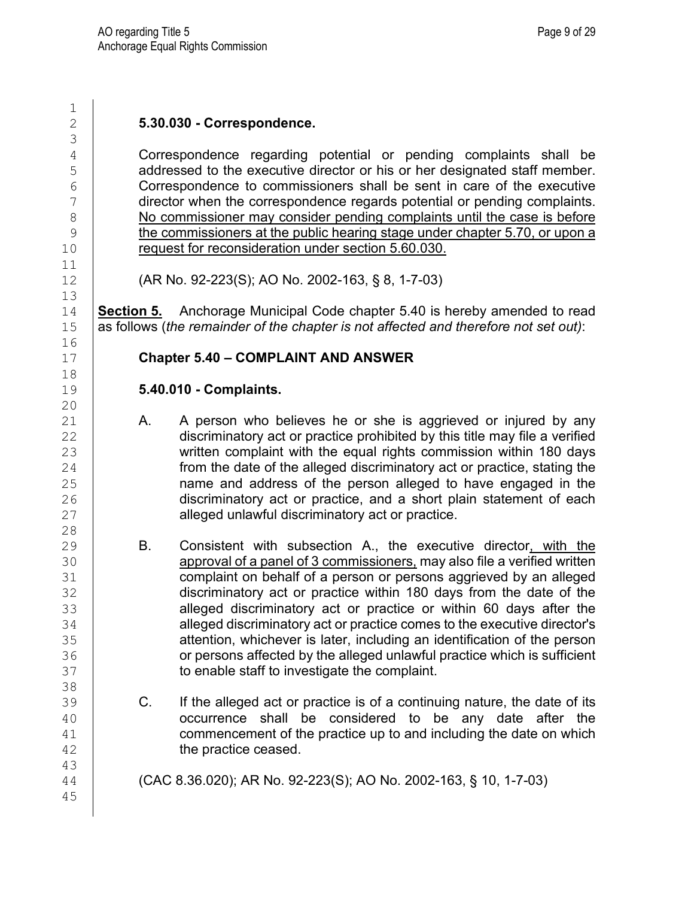| $\mathbf 1$<br>$\overline{2}$                                                         |    | 5.30.030 - Correspondence.                                                                                                                                                                                                                                                                                                                                                                                                                                                                                                                                                                                                                          |
|---------------------------------------------------------------------------------------|----|-----------------------------------------------------------------------------------------------------------------------------------------------------------------------------------------------------------------------------------------------------------------------------------------------------------------------------------------------------------------------------------------------------------------------------------------------------------------------------------------------------------------------------------------------------------------------------------------------------------------------------------------------------|
| 3<br>$\overline{4}$<br>5<br>6<br>$\overline{7}$<br>$\,8\,$<br>$\mathsf 9$<br>10<br>11 |    | Correspondence regarding potential or pending complaints shall be<br>addressed to the executive director or his or her designated staff member.<br>Correspondence to commissioners shall be sent in care of the executive<br>director when the correspondence regards potential or pending complaints.<br>No commissioner may consider pending complaints until the case is before<br>the commissioners at the public hearing stage under chapter 5.70, or upon a<br>request for reconsideration under section 5.60.030.                                                                                                                            |
| 12<br>13                                                                              |    | (AR No. 92-223(S); AO No. 2002-163, § 8, 1-7-03)                                                                                                                                                                                                                                                                                                                                                                                                                                                                                                                                                                                                    |
| 14<br>15                                                                              |    | <b>Section 5.</b> Anchorage Municipal Code chapter 5.40 is hereby amended to read<br>as follows (the remainder of the chapter is not affected and therefore not set out):                                                                                                                                                                                                                                                                                                                                                                                                                                                                           |
| 16<br>17<br>18                                                                        |    | <b>Chapter 5.40 - COMPLAINT AND ANSWER</b>                                                                                                                                                                                                                                                                                                                                                                                                                                                                                                                                                                                                          |
| 19<br>20                                                                              |    | 5.40.010 - Complaints.                                                                                                                                                                                                                                                                                                                                                                                                                                                                                                                                                                                                                              |
| 21<br>22<br>23<br>24<br>25<br>26<br>27                                                | Α. | A person who believes he or she is aggrieved or injured by any<br>discriminatory act or practice prohibited by this title may file a verified<br>written complaint with the equal rights commission within 180 days<br>from the date of the alleged discriminatory act or practice, stating the<br>name and address of the person alleged to have engaged in the<br>discriminatory act or practice, and a short plain statement of each<br>alleged unlawful discriminatory act or practice.                                                                                                                                                         |
| 28<br>29<br>30<br>31<br>32<br>33<br>34<br>35<br>36<br>37<br>38                        | В. | Consistent with subsection A., the executive director, with the<br>approval of a panel of 3 commissioners, may also file a verified written<br>complaint on behalf of a person or persons aggrieved by an alleged<br>discriminatory act or practice within 180 days from the date of the<br>alleged discriminatory act or practice or within 60 days after the<br>alleged discriminatory act or practice comes to the executive director's<br>attention, whichever is later, including an identification of the person<br>or persons affected by the alleged unlawful practice which is sufficient<br>to enable staff to investigate the complaint. |
| 39<br>40<br>41<br>42<br>43                                                            | C. | If the alleged act or practice is of a continuing nature, the date of its<br>occurrence shall be considered to be any date after the<br>commencement of the practice up to and including the date on which<br>the practice ceased.                                                                                                                                                                                                                                                                                                                                                                                                                  |
| 44<br>45                                                                              |    | (CAC 8.36.020); AR No. 92-223(S); AO No. 2002-163, § 10, 1-7-03)                                                                                                                                                                                                                                                                                                                                                                                                                                                                                                                                                                                    |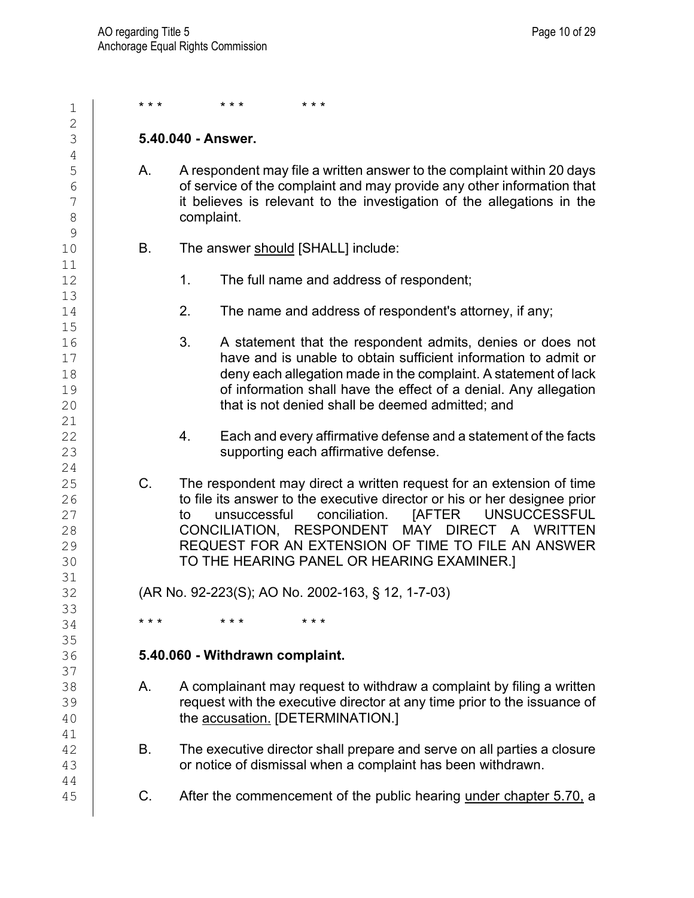| 1                                | * * * | $* * *$<br>$* * *$                                                                                                                                                                                                                                                                                                                                                                                    |
|----------------------------------|-------|-------------------------------------------------------------------------------------------------------------------------------------------------------------------------------------------------------------------------------------------------------------------------------------------------------------------------------------------------------------------------------------------------------|
| $\overline{2}$<br>3              |       | 5.40.040 - Answer.                                                                                                                                                                                                                                                                                                                                                                                    |
| $\sqrt{4}$                       |       |                                                                                                                                                                                                                                                                                                                                                                                                       |
| 5<br>6<br>7<br>8<br>9            | Α.    | A respondent may file a written answer to the complaint within 20 days<br>of service of the complaint and may provide any other information that<br>it believes is relevant to the investigation of the allegations in the<br>complaint.                                                                                                                                                              |
| 10<br>11                         | В.    | The answer should [SHALL] include:                                                                                                                                                                                                                                                                                                                                                                    |
| 12<br>13                         |       | 1.<br>The full name and address of respondent;                                                                                                                                                                                                                                                                                                                                                        |
| 14<br>15                         |       | 2.<br>The name and address of respondent's attorney, if any;                                                                                                                                                                                                                                                                                                                                          |
| 16<br>17<br>18<br>19<br>20<br>21 |       | 3.<br>A statement that the respondent admits, denies or does not<br>have and is unable to obtain sufficient information to admit or<br>deny each allegation made in the complaint. A statement of lack<br>of information shall have the effect of a denial. Any allegation<br>that is not denied shall be deemed admitted; and                                                                        |
| 22<br>23<br>24                   |       | Each and every affirmative defense and a statement of the facts<br>4.<br>supporting each affirmative defense.                                                                                                                                                                                                                                                                                         |
| 25<br>26<br>27<br>28<br>29<br>30 | C.    | The respondent may direct a written request for an extension of time<br>to file its answer to the executive director or his or her designee prior<br><b>JAFTER</b><br><b>UNSUCCESSFUL</b><br>unsuccessful<br>conciliation.<br>to<br>MAY<br>CONCILIATION, RESPONDENT<br><b>DIRECT</b><br>A WRITTEN<br>REQUEST FOR AN EXTENSION OF TIME TO FILE AN ANSWER<br>TO THE HEARING PANEL OR HEARING EXAMINER.] |
| 31<br>32                         |       | (AR No. 92-223(S); AO No. 2002-163, § 12, 1-7-03)                                                                                                                                                                                                                                                                                                                                                     |
| 33<br>34                         | * * * | * * *<br>* * *                                                                                                                                                                                                                                                                                                                                                                                        |
| 35<br>36                         |       | 5.40.060 - Withdrawn complaint.                                                                                                                                                                                                                                                                                                                                                                       |
| 37<br>38<br>39<br>40<br>41       | Α.    | A complainant may request to withdraw a complaint by filing a written<br>request with the executive director at any time prior to the issuance of<br>the accusation. [DETERMINATION.]                                                                                                                                                                                                                 |
| 42<br>43<br>44                   | В.    | The executive director shall prepare and serve on all parties a closure<br>or notice of dismissal when a complaint has been withdrawn.                                                                                                                                                                                                                                                                |
| 45                               | C.    | After the commencement of the public hearing under chapter 5.70, a                                                                                                                                                                                                                                                                                                                                    |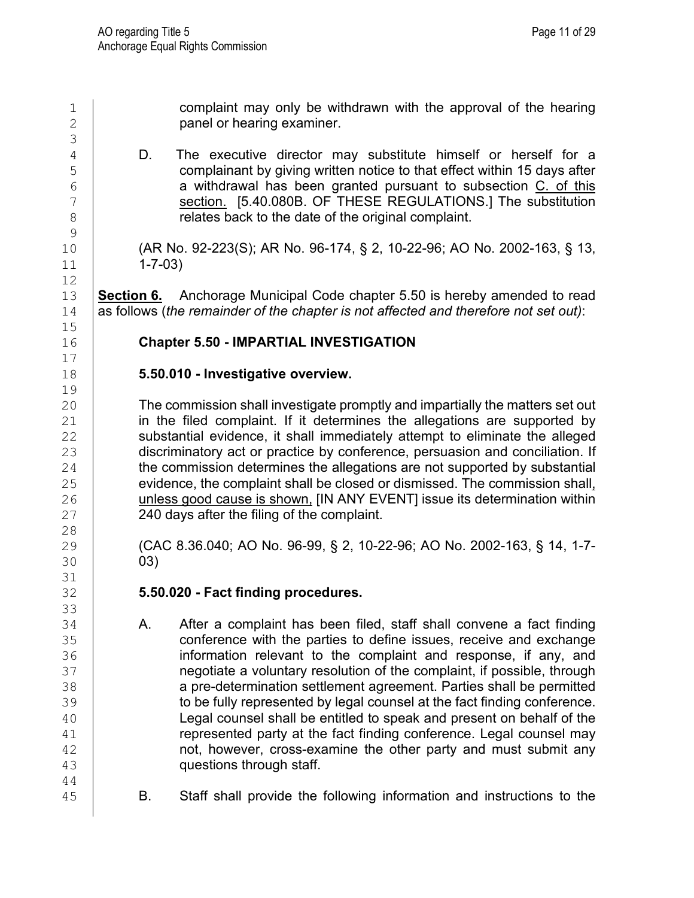$\begin{array}{c|c} 1 & \text{complain t may only be withdrawn with the approval of the hearing  
2 & \text{panel or hearing examiner.} \end{array}$ panel or hearing examiner. 3 4 D. The executive director may substitute himself or herself for a<br>5 complainant by giving written notice to that effect within 15 days after 5 complainant by giving written notice to that effect within 15 days after<br>6 **complained** a withdrawal has been granted pursuant to subsection C. of this 6 a withdrawal has been granted pursuant to subsection C. of this section. [5.40.080B. OF THESE REGULATIONS.] The substitution 7 section. [5.40.080B. OF THESE REGULATIONS.] The substitution<br>8 relates back to the date of the original complaint.  $\frac{9}{10}$ 10 (AR No. 92-223(S); AR No. 96-174, § 2, 10-22-96; AO No. 2002-163, § 13, <br>11 (1-7-03)  $1 - 7 - 03$ 12 13 **Section 6.** Anchorage Municipal Code chapter 5.50 is hereby amended to read<br>14 as follows (the remainder of the chapter is not affected and therefore not set out): 14 as follows (*the remainder of the chapter is not affected and therefore not set out)*:  $\frac{15}{16}$ 16 **Chapter 5.50 - IMPARTIAL INVESTIGATION**  $\begin{array}{c} 17 \\ 18 \end{array}$ 18 **5.50.010 - Investigative overview.** 19<br>20 20 The commission shall investigate promptly and impartially the matters set out<br>21 **The filled complaint. If it determines the allegations are supported by** 21 in the filed complaint. If it determines the allegations are supported by<br>22 substantial evidence, it shall immediately attempt to eliminate the alleged substantial evidence, it shall immediately attempt to eliminate the alleged 23 discriminatory act or practice by conference, persuasion and conciliation. If<br>24 the commission determines the allegations are not supported by substantial 24 the commission determines the allegations are not supported by substantial<br>25 evidence, the complaint shall be closed or dismissed. The commission shall, 25 evidence, the complaint shall be closed or dismissed. The commission shall,  $26$  unless good cause is shown, [IN ANY EVENT] issue its determination within 26 unless good cause is shown, [IN ANY EVENT] issue its determination within  $27$  240 days after the filing of the complaint. 240 days after the filing of the complaint. 28<br>29 29 (CAC 8.36.040; AO No. 96-99, § 2, 10-22-96; AO No. 2002-163, § 14, 1-7-<br>30 (03) 03) 31<br>32 32 **5.50.020 - Fact finding procedures.** 33<br>34 A. After a complaint has been filed, staff shall convene a fact finding 35 conference with the parties to define issues, receive and exchange<br>36 **conference information relevant to the complaint and response, if any, and** 36 information relevant to the complaint and response, if any, and<br>37 **interprot in a view of the complaint**, if possible, through 37 **negotiate a voluntary resolution of the complaint, if possible, through**<br>38 **a** pre-determination settlement agreement. Parties shall be permitted 38 a pre-determination settlement agreement. Parties shall be permitted<br>39 b to be fully represented by legal counsel at the fact finding conference. 39 to be fully represented by legal counsel at the fact finding conference.<br>40 Legal counsel shall be entitled to speak and present on behalf of the 40 Legal counsel shall be entitled to speak and present on behalf of the<br>41 **The analysis of the fact finding conference.** Legal counsel may 41 **represented party at the fact finding conference. Legal counsel may**<br>42 **hot, however, cross-examine the other party and must submit any** not, however, cross-examine the other party and must submit any 43 questions through staff. 44 45 **B.** Staff shall provide the following information and instructions to the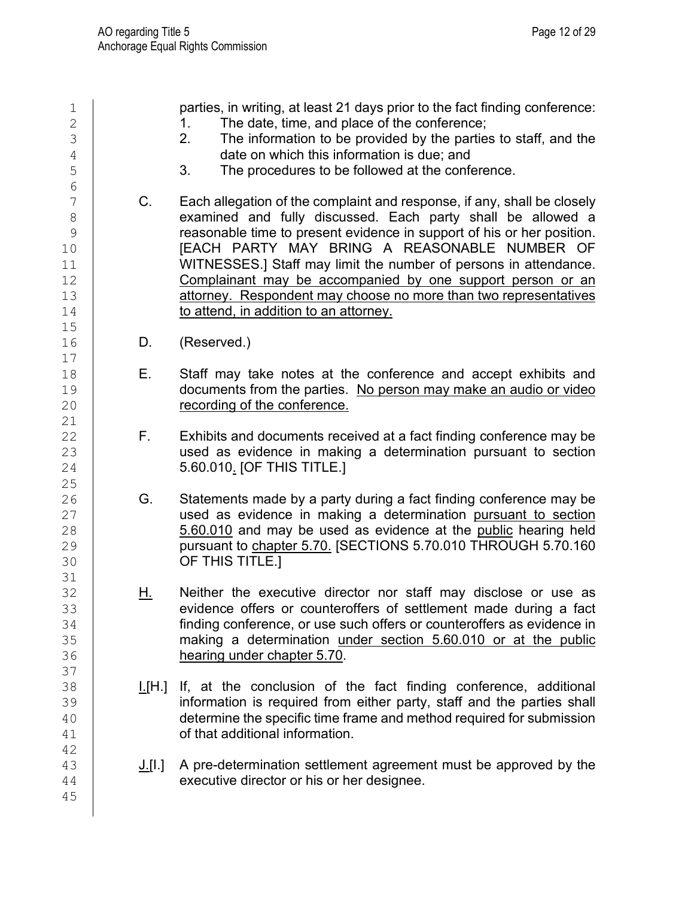1 parties, in writing, at least 21 days prior to the fact finding conference:<br>2 1. The date, time, and place of the conference:  $\begin{array}{ccc} 2 \\ 3 \end{array}$  1. The date, time, and place of the conference;<br>3  $\begin{array}{c|c} 3 & 2. & \text{The information to be provided by the parties to staff, and the data on which this information is due: and\n\end{array}$  $\begin{array}{c|c} 4 & 3 & \text{The procedures to be followed at the confi} \\ 5 & 3 & 7 & \text{The procedures to be followed at the confi} \end{array}$ The procedures to be followed at the conference. 6<br>7 T C. Each allegation of the complaint and response, if any, shall be closely<br>8 8 examined and fully discussed. Each party shall be allowed a<br>9 examined and fully discussed. Each party shall be allowed a 9 reasonable time to present evidence in support of his or her position.<br>10 **TEACH PARTY MAY BRING A REASONABLE NUMBER OF** 10 **[EACH PARTY MAY BRING A REASONABLE NUMBER OF**<br>11 WITNESSES.I Staff may limit the number of persons in attendance. 11 WITNESSES.] Staff may limit the number of persons in attendance.<br>12 Complainant may be accompanied by one support person or an Complainant may be accompanied by one support person or an 13 detorney. Respondent may choose no more than two representatives<br>14 to attend. in addition to an attorney. to attend, in addition to an attorney.  $15$ <br> $16$ D. (Reserved.)  $\begin{array}{c} 17 \\ 18 \end{array}$ 18 **E.** Staff may take notes at the conference and accept exhibits and<br>19 **E.** documents from the parties No person may make an audio or video 19 documents from the parties. No person may make an audio or video<br>20 documents from the conference. recording of the conference. 21<br>22 F. Exhibits and documents received at a fact finding conference may be 23 used as evidence in making a determination pursuant to section  $24$  5.60.010 IOF THIS TITLE. 5.60.010. [OF THIS TITLE.] 25<br>26 26 G. Statements made by a party during a fact finding conference may be<br>27 decreed as evidence in making a determination pursuant to section 27 used as evidence in making a determination pursuant to section<br>28 <br>3.60.010 and may be used as evidence at the public hearing held 28 5.60.010 and may be used as evidence at the public hearing held<br>29 bursuant to chapter 5.70. ISECTIONS 5.70.010 THROUGH 5.70.160 29 pursuant to chapter 5.70. [SECTIONS 5.70.010 THROUGH 5.70.160<br>30 OF THIS TITLE.] OF THIS TITLE.] 31<br>32 32 **H.** Neither the executive director nor staff may disclose or use as<br>33 **Head of the executive director** of settlement made during a fact 33 evidence offers or counteroffers of settlement made during a fact<br>34 **finding conference, or use such offers or counteroffers as evidence in** finding conference, or use such offers or counteroffers as evidence in 35 making a determination under section 5.60.010 or at the public<br>36 hearing under chapter 5.70. hearing under chapter 5.70. 37<br>38 38 **I.**[H.] If, at the conclusion of the fact finding conference, additional 39 39 information is required from either party, staff and the parties shall<br>40 determine the specific time frame and method required for submission  $\begin{array}{c|c} 40 & \text{determine the specific time frame and method required for submission} \ 41 & \text{of that additional information.} \end{array}$ of that additional information. 42  $\frac{43}{44}$  J.[I.] A pre-determination settlement agreement must be approved by the executive director or his or her designee. executive director or his or her designee. 45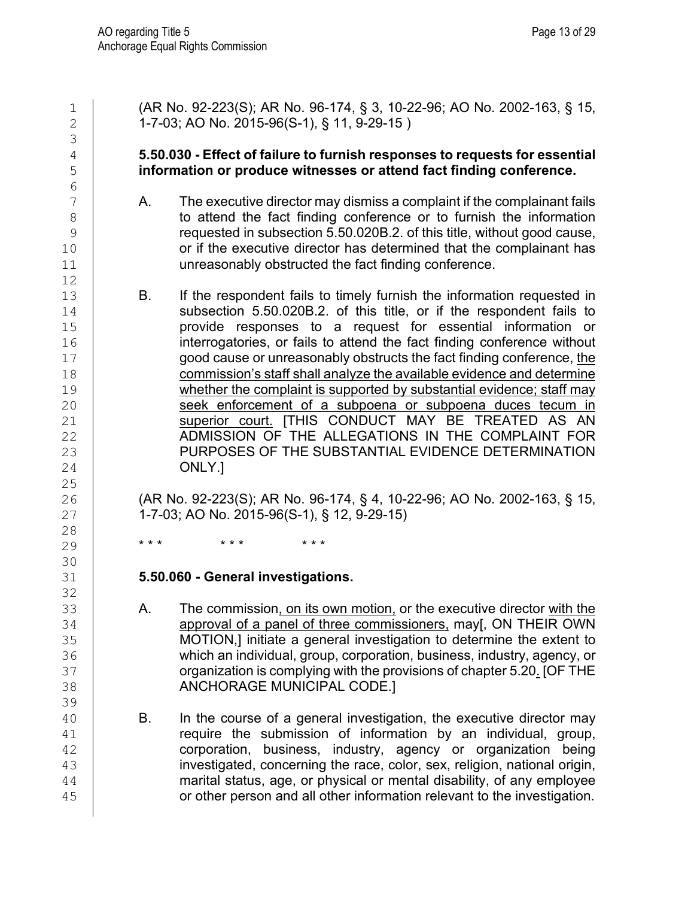3

6<br>7

12

 $\begin{array}{c} 25 \\ 26 \end{array}$ 

 $\begin{array}{c} 28 \\ 29 \end{array}$ 

30<br>31

32<br>33

39<br>40

1 (AR No. 92-223(S); AR No. 96-174, § 3, 10-22-96; AO No. 2002-163, § 15,<br>2 1-7-03: AO No. 2015-96(S-1), § 11, 9-29-15) 2 1-7-03; AO No. 2015-96(S-1), § 11, 9-29-15 )

### 4 **5.50.030 - Effect of failure to furnish responses to requests for essential**  5 **information or produce witnesses or attend fact finding conference.**

- T A. The executive director may dismiss a complaint if the complainant fails<br>8 8 to attend the fact finding conference or to furnish the information<br>9 the internation 5.50.020B.2. of this title without good cause. 9 requested in subsection 5.50.020B.2. of this title, without good cause,<br>or if the executive director has determined that the complainant has 10 or if the executive director has determined that the complainant has  $11$  unreasonably obstructed the fact finding conference. unreasonably obstructed the fact finding conference.
- 13 B. If the respondent fails to timely furnish the information requested in<br>14 Subsection 5.50.020B.2. of this title. or if the respondent fails to 14 Subsection 5.50.020B.2. of this title, or if the respondent fails to<br>15 **I** provide responses to a request for essential information or 15 15 provide responses to a request for essential information or<br>16 **interrogatories**, or fails to attend the fact finding conference without 16 interrogatories, or fails to attend the fact finding conference without<br>17 **interproduced cause or unreasonably obstructs the fact finding conference, the** 17 good cause or unreasonably obstructs the fact finding conference, the 18 commission's staff shall analyze the available evidence and determine<br>19 mether the complaint is supported by substantial evidence: staff may 19 whether the complaint is supported by substantial evidence; staff may<br>20 Seek enforcement of a subpoena or subpoena duces tecum in 20 Seek enforcement of a subpoena or subpoena duces tecum in a subpoena duces tecum in a subpoena duces tecum in 21 Superior court. [THIS CONDUCT MAY BE TREATED AS AN ADMISSION OF THE ALLEGATIONS IN THE COMPLAINT FOR ADMISSION OF THE ALLEGATIONS IN THE COMPLAINT FOR 23 PURPOSES OF THE SUBSTANTIAL EVIDENCE DETERMINATION<br>24 ONLY.1 ONLY.]

26 (AR No. 92-223(S); AR No. 96-174, § 4, 10-22-96; AO No. 2002-163, § 15,<br>27 1-7-03; AO No. 2015-96(S-1), § 12, 9-29-15) 27 1-7-03; AO No. 2015-96(S-1), § 12, 9-29-15)

29 **\*\*\* \*\*\* \*\*\*** 

## 31 **5.50.060 - General investigations.**

- 33 A. The commission<u>, on its own motion,</u> or the executive director <u>with the 34</u><br>34 **A. A. Communist on the commissioners**, may[, ON THEIR OWN approval of a panel of three commissioners, may[, ON THEIR OWN 35 MOTION,] initiate a general investigation to determine the extent to<br>36 which an individual, group, corporation, business, industry, agency, or which an individual, group, corporation, business, industry, agency, or 37 organization is complying with the provisions of chapter 5.20. [OF THE ANCHORAGE MUNICIPAL CODE.]
- 40 B. In the course of a general investigation, the executive director may<br>41 **B. Contrary the submission of information by an individual.** group. 41 require the submission of information by an individual, group,<br>42 corporation, business, industry, agency or organization being corporation, business, industry, agency or organization being 43 investigated, concerning the race, color, sex, religion, national origin,<br>44 marital status, age, or physical or mental disability, of any employee marital status, age, or physical or mental disability, of any employee 45 **Fig. 2.1** or other person and all other information relevant to the investigation.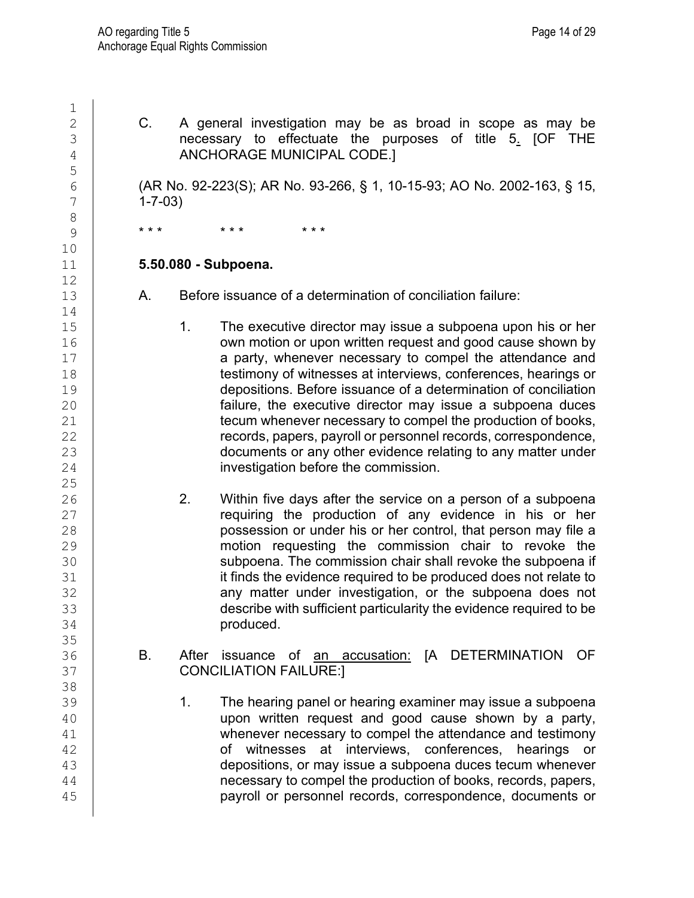$\frac{1}{2}$ 2 C. A general investigation may be as broad in scope as may be<br>3 **C. C. A general investigation may be as broad in scope as may be**  $\frac{3}{4}$  necessary to effectuate the purposes of title  $5.$  [OF THE  $\frac{4}{4}$ 4 ANCHORAGE MUNICIPAL CODE.] 5 6 (AR No. 92-223(S); AR No. 93-266, § 1, 10-15-93; AO No. 2002-163, § 15,  $\frac{7}{1}$  $1 - 7 - 03$ 8 9 \* \* \* \* \* \* \* \* \* 10<br>11 11 **5.50.080 - Subpoena.**  $\begin{array}{c} 12 \\ 13 \end{array}$ A. Before issuance of a determination of conciliation failure:  $14$ <br> $15$ 15 15 1. The executive director may issue a subpoena upon his or her<br>16 16 16 16 16 200 16 200 16 200 16 200 16 200 16 200 16 200 16 200 16 200 16 200 16 200 16 200 16 200 16 200 1 16 own motion or upon written request and good cause shown by<br>17 a party, whenever necessary to compel the attendance and 17 a party, whenever necessary to compel the attendance and<br>18 **b** testimony of witnesses at interviews, conferences, hearings or 18 testimony of witnesses at interviews, conferences, hearings or<br>19 depositions Before issuance of a determination of conciliation 19 depositions. Before issuance of a determination of conciliation<br>20 failure, the executive director may issue a subpoena duces 20 **failure, the executive director may issue a subpoena duces**<br>21 **facture in the executive director may issue a subpoena duces** 21 decum whenever necessary to compel the production of books,<br>22 decords, papers, payroll or personnel records, correspondence, records, papers, payroll or personnel records, correspondence, 23 documents or any other evidence relating to any matter under<br>24 investigation before the commission. investigation before the commission.  $\frac{25}{26}$ 26 20 2. Within five days after the service on a person of a subpoena<br>27 **2.** The production of any evidence in his or her 27 **contact any exidence in his or her production of any evidence in his or her control.**<br>28 **control** by the product possession or under his or her control, that person may file a 28 possession or under his or her control, that person may file a<br>29 motion requesting the commission chair to revoke the 29 motion requesting the commission chair to revoke the<br>30 subpoena. The commission chair shall revoke the subpoena if 30 subpoena. The commission chair shall revoke the subpoena if<br>31 state that it finds the evidence required to be produced does not relate to 31 **it finds the evidence required to be produced does not relate to**<br>32 **ince reading to any matter under investigation**, or the subpoena does not 32 any matter under investigation, or the subpoena does not says the subpoena does not describe with sufficient particularity the evidence required to be 33 describe with sufficient particularity the evidence required to be<br>34 **homography** produced. produced. 35<br>36 36 B. After issuance of <u>an accusation:</u> [A DETERMINATION OF<br>37 CONCILIATION FAILURE:] CONCILIATION FAILURE:] 38<br>39 39 **1. The hearing panel or hearing examiner may issue a subpoena**<br>40 **1. The hearing panel or hearing examiner may issue a subpoena**  $\begin{array}{c|c} 40 & \text{upon written request and good cause shown by a party,} \end{array}$  whenever necessary to compel the attendance and testimony 41 whenever necessary to compel the attendance and testimony<br>42 state of witnesses at interviews, conferences, hearings or 42 conferences, hearings or witnesses at interviews, conferences, hearings or depositions or may issue a subpoena duces tecum whenever 43 depositions, or may issue a subpoena duces tecum whenever<br>44 depositions, or may issue a subpoena duces tecum whenever necessary to compel the production of books, records, papers, 45 payroll or personnel records, correspondence, documents or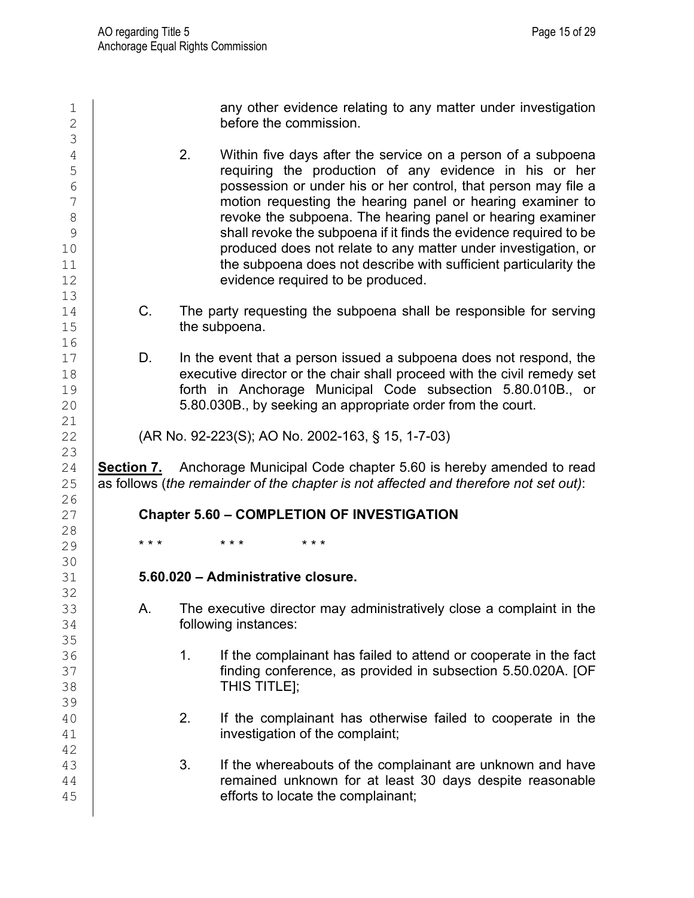$\begin{array}{c|c} 1 & \text{any other evidence relating to any matter under investigation} \\ \text{before the commission.} \end{array}$ before the commission. 3 4 2. Within five days after the service on a person of a subpoena<br>5 continue the production of any evidence in his or her 5 setting the production of any evidence in his or her control.<br>
Ferrich consession or under his or her control, that person may file a  $\begin{array}{c|c}\n6 & \phantom{0} & \phantom{0} & \phantom{0} & \phantom{0} & \phantom{0} & \phantom{0} & \phantom{0} & \phantom{0} & \phantom{0} & \phantom{0} & \phantom{0} & \phantom{0} & \phantom{0} & \phantom{0} & \phantom{0} & \phantom{0} & \phantom{0} & \phantom{0} & \phantom{0} & \phantom{0} & \phantom{0} & \phantom{0} & \phantom{0} & \phantom{0} & \phantom{0} & \phantom{0} & \phantom{0} & \phantom{0} & \phantom{0} & \phantom{0$ 7 motion requesting the hearing panel or hearing examiner to<br>8 8 **8 revoke the subpoena. The hearing panel or hearing examiner**<br>8 **revoke the subpoena if it finds the evidence required to be** 9 shall revoke the subpoena if it finds the evidence required to be<br>produced does not relate to anv matter under investigation. or 10 **constructs produced does not relate to any matter under investigation, or**<br>11 **he subpoena does not describe with sufficient particularity the** 11 the subpoena does not describe with sufficient particularity the<br>12 evidence required to be produced. evidence required to be produced. 13<br>14 14 C. The party requesting the subpoena shall be responsible for serving<br>15 **C.** the subpoena. the subpoena. 16<br>17 17 D. In the event that a person issued a subpoena does not respond, the 18 degree of the chair shall proceed with the civil remedy set 18 executive director or the chair shall proceed with the civil remedy set<br>19 forth in Anchorage Municipal Code subsection 5.80.010B or 19 **forth in Anchorage Municipal Code subsection 5.80.010B., or** 20<br>20 **5.80.030B., by seeking an appropriate order from the court.** 5.80.030B., by seeking an appropriate order from the court.  $\begin{array}{c} 21 \\ 22 \end{array}$ 22 (AR No. 92-223(S); AO No. 2002-163, § 15, 1-7-03) 23<br>24 24 **Section 7.** Anchorage Municipal Code chapter 5.60 is hereby amended to read<br>25 as follows (the remainder of the chapter is not affected and therefore not set out): 25 as follows (*the remainder of the chapter is not affected and therefore not set out)*:  $\frac{26}{27}$ 27 **Chapter 5.60 – COMPLETION OF INVESTIGATION**  $\begin{array}{c} 28 \\ 29 \end{array}$ 29 **\*\*\* \*\*\* \*\*\*** 30<br>31 31 **5.60.020 – Administrative closure.** 32<br>33 33 A. The executive director may administratively close a complaint in the 34 following instances: 35<br>36 36 1. If the complainant has failed to attend or cooperate in the fact<br>37 **1.** If inding conference, as provided in subsection 5.50.020A. [OF 37 **finding conference, as provided in subsection 5.50.020A. [OF** 38 THIS TITLE]; 39 40 2. If the complainant has otherwise failed to cooperate in the investigation of the complaint: investigation of the complaint; 42 43 3. If the whereabouts of the complainant are unknown and have remained unknown for at least 30 days despite reasonable 45 **efforts to locate the complainant;**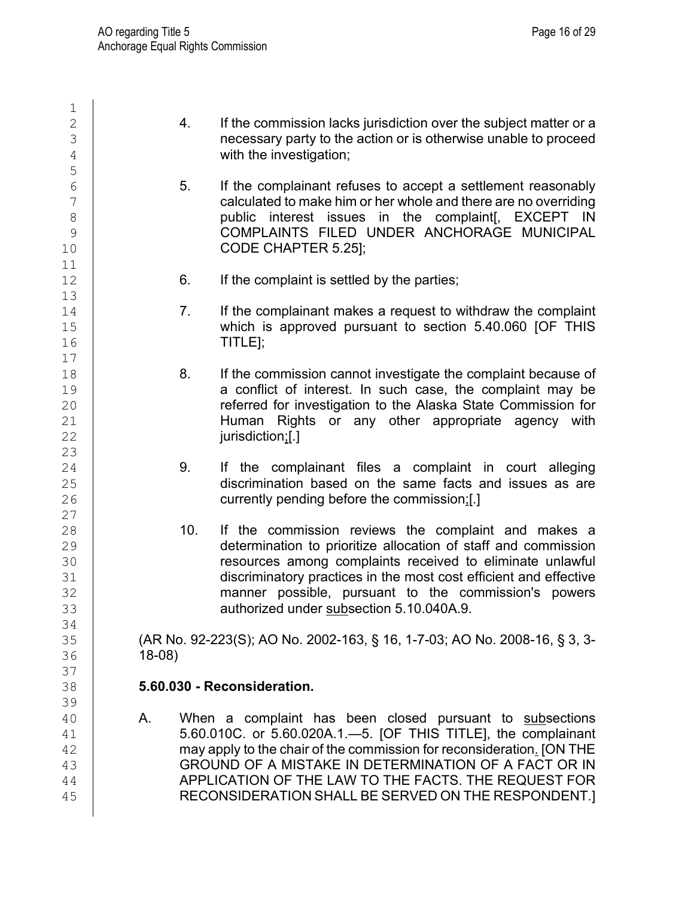$\frac{1}{2}$ 2 4. If the commission lacks jurisdiction over the subject matter or a<br>3 decessary party to the action or is otherwise unable to proceed  $\begin{array}{c|c}\n 3 \\
 4\n \end{array}$  necessary party to the action or is otherwise unable to proceed with the investigation: with the investigation; 5  $\begin{array}{c|c} 6 & 5. & \text{If the complaint refuses to accept a settlement reasonably} \\ 7 & & \text{calculated to make him or her whole and there are no overriding} \end{array}$ 7 calculated to make him or her whole and there are no overriding<br>8 bublic interest issues in the complaint EXCEPT IN 8 public interest issues in the complaint[, EXCEPT IN 9 COMPLAINTS FILED UNDER ANCHORAGE MUNICIPAL<br>10 CODE CHAPTER 5.251: CODE CHAPTER 5.25]; 11<br>12 6. If the complaint is settled by the parties; 13<br>14 14 7. If the complainant makes a request to withdraw the complaint<br>15 15 Which is approved pursuant to section 5.40.060 IOF THIS 15 which is approved pursuant to section 5.40.060 [OF THIS 16  $T$ ITLE];  $17$ <br> $18$ 18 18 8. If the commission cannot investigate the complaint because of 19 19 **a conflict of interest. In such case, the complaint may be**<br>20 **a conflict of investigation to the Alaska State Commission for** 20 **can all investigation to the Alaska State Commission for**<br>21 **Reference Human Rights or any other appropriate agency with** 21 **Human Rights or any other appropriate agency with**<br>22 **Human Rights or any other appropriate agency with** jurisdiction;[.] 23<br>24 24 9. If the complainant files a complaint in court alleging<br>25 discrimination based on the same facts and issues as are 25 discrimination based on the same facts and issues as are<br>26 currently pending before the commission:[.] currently pending before the commission;[.]  $\begin{array}{c} 27 \\ 28 \end{array}$ 28 10. If the commission reviews the complaint and makes a<br>29 determination to prioritize allocation of staff and commission 29 determination to prioritize allocation of staff and commission<br>30 determination to prioritize allocation of staff and commission 30 cresources among complaints received to eliminate unlawful<br>31 discriminatory practices in the most cost efficient and effective 31 discriminatory practices in the most cost efficient and effective<br>32 manner possible, pursuant to the commission's powers 32 commission's parametral possible, pursuant to the commission's powers<br>33 commission's authorized under subsection 5.10.040A.9. authorized under subsection 5.10.040A.9. 34<br>35 35 (AR No. 92-223(S); AO No. 2002-163, § 16, 1-7-03; AO No. 2008-16, § 3, 3- 18-08) 37<br>38 38 **5.60.030 - Reconsideration.** 39<br>40 40 A. When a complaint has been closed pursuant to subsections 41 5.60.010C. or 5.60.020A.1.—5. [OF THIS TITLE], the complainant<br>42 may apply to the chair of the commission for reconsideration. [ON THE 42 may apply to the chair of the commission for reconsideration<u>.</u> [ON THE 43 may apply to the chair of the commission for reconsideration<u>.</u> [ON THE 43 43 GROUND OF A MISTAKE IN DETERMINATION OF A FACT OR IN APPLICATION OF THE LAW TO THE FACTS. THE REQUEST FOR 44 APPLICATION OF THE LAW TO THE FACTS. THE REQUEST FOR 45 RECONSIDERATION SHALL BE SERVED ON THE RESPONDENT.]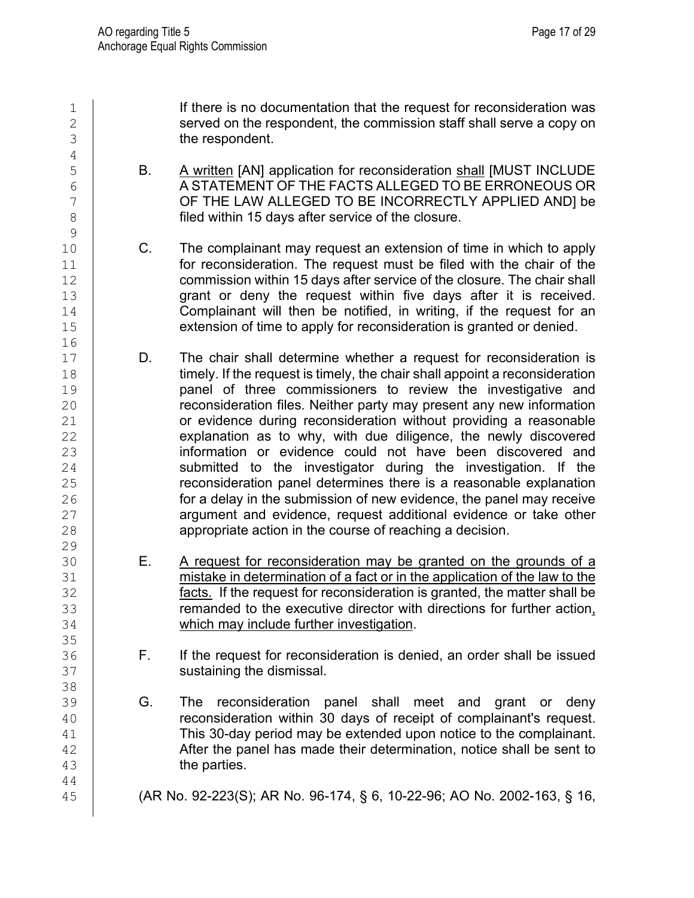1 1 If there is no documentation that the request for reconsideration was<br>2 Served on the respondent, the commission staff shall serve a copy on  $\begin{array}{c|c} 2 & \text{served on the respondent, the commission staff shall serve a copy on} \\ \hline 3 & \text{the resonident.} \end{array}$ the respondent. 4<br>5 5 B. A written [AN] application for reconsideration shall [MUST INCLUDE<br>6 A STATEMENT OF THE FACTS ALLEGED TO BE ERRONEOUS OR 6 A STATEMENT OF THE FACTS ALLEGED TO BE ERRONEOUS OR<br>OF THE LAW ALLEGED TO BE INCORRECTLY APPLIED AND] be 7 CF THE LAW ALLEGED TO BE INCORRECTLY APPLIED AND] be filed within 15 days after service of the closure. filed within 15 days after service of the closure.  $\frac{9}{10}$ 10 C. The complainant may request an extension of time in which to apply<br>11 **C.** For reconsideration. The request must be filed with the chair of the  $\begin{array}{c|c} 11 & \text{for reconstruction.} \end{array}$  for reconsideration. The request must be filed with the chair of the commission within 15 days after service of the closure. The chair shall commission within 15 days after service of the closure. The chair shall 13 grant or deny the request within five days after it is received.<br>14 Complainant will then be notified, in writing, if the request for an 14 Complainant will then be notified, in writing, if the request for an 15 **extension of time to apply for reconsideration is granted or denied.** 16<br>17 D. The chair shall determine whether a request for reconsideration is 18 timely. If the request is timely, the chair shall appoint a reconsideration<br>19 hanel of three commissioners to review the investigative and 19 **panel of three commissioners to review the investigative and property** 20 **panel of three commissioners to review information** 20 **can all reconsideration files. Neither party may present any new information**<br>21 **can be in the consideration without providing a reasonable**  $\begin{array}{c|c} 21 & \text{or evidence during reconstruction without providing a reasonable } 22 & \text{explanation as to why, with due diligence, the newly discovered.} \end{array}$ explanation as to why, with due diligence, the newly discovered 23 information or evidence could not have been discovered and<br>24 information or evidence could not have been discovered and<br>24 intervals submitted to the investigator during the investigation. If the 24 submitted to the investigator during the investigation. If the<br>25 consideration panel determines there is a reasonable explanation 25 consideration panel determines there is a reasonable explanation<br>26 consideration the submission of new evidence, the panel may receive 26 **for a delay in the submission of new evidence, the panel may receive**<br>27 **argument and evidence, request additional evidence or take other** 27 argument and evidence, request additional evidence or take other<br>28 appropriate action in the course of reaching a decision. appropriate action in the course of reaching a decision. 29<br>30 30 **E.** A request for reconsideration may be granted on the grounds of a<br>31 **Example:** mistake in determination of a fact or in the application of the law to the 31 mistake in determination of a fact or in the application of the law to the 32 facts. If the request for reconsideration is granted, the matter shall be 33 communded to the executive director with directions for further action, 34 communical which may include further investigation. which may include further investigation. 35<br>36 F. If the request for reconsideration is denied, an order shall be issued 37 **Sustaining the dismissal.** 38<br>39 39 G. The reconsideration panel shall meet and grant or deny<br>40 **G. The reconsideration within 30 davs** of receipt of complainant's request. 40 **reconsideration within 30 days of receipt of complainant's request.**<br>41 **This 30-day period may be extended upon notice to the complainant.** 41 This 30-day period may be extended upon notice to the complainant.<br>42 After the panel has made their determination, notice shall be sent to After the panel has made their determination, notice shall be sent to 43 **the parties.** 44 45 (AR No. 92-223(S); AR No. 96-174, § 6, 10-22-96; AO No. 2002-163, § 16,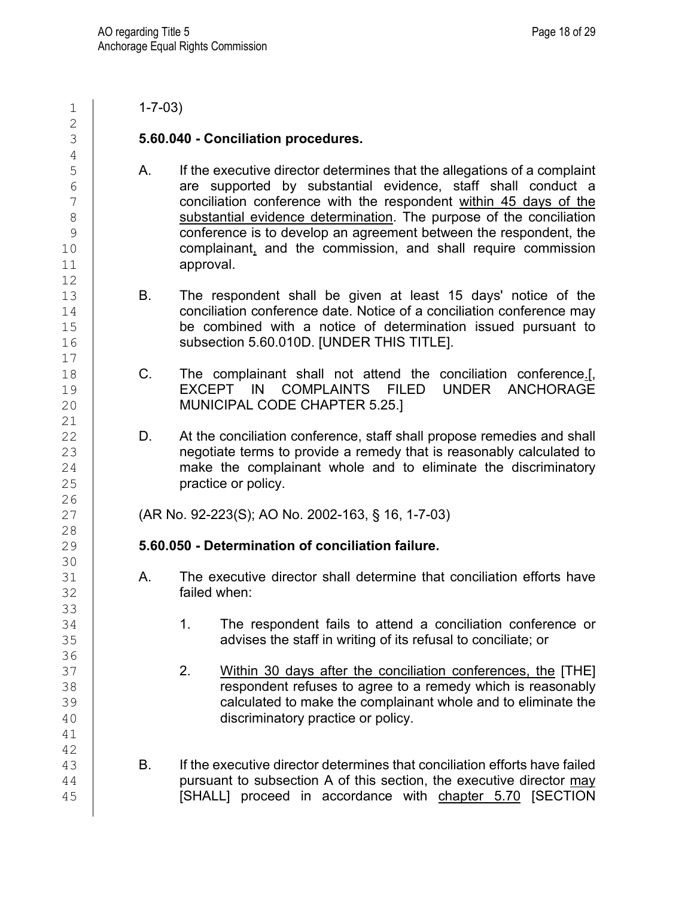$\frac{2}{3}$ 4<br>5 12 17 21<br>22 26<br>27 28<br>29 30<br>31 33<br>34 36 41 42<br>43

 $1 \mid 1 - 7 - 03$ 

### 3 **5.60.040 - Conciliation procedures.**

- 5 A. If the executive director determines that the allegations of a complaint<br>6 **A.** are supported by substantial evidence, staff shall conduct a  $\begin{array}{c|c} 6 & \phantom{0} \text{are supported by substantial evidence, staff shall conduct a} \ 7 & \phantom{0} \text{concliation conference with the respondent within 45 days of the} \end{array}$ 7 conciliation conference with the respondent within 45 days of the substantial evidence determination. The purpose of the conciliation 8 substantial evidence determination. The purpose of the conciliation<br>8 conference is to develop an agreement between the respondent the 9 conference is to develop an agreement between the respondent, the<br>10 complainant. and the commission. and shall require commission 10 complainant, and the commission, and shall require commission<br>11 **commission** approval.
- 13 B. The respondent shall be given at least 15 days' notice of the<br>14 conciliation conference date Notice of a conciliation conference may conciliation conference date. Notice of a conciliation conference may 15 be combined with a notice of determination issued pursuant to<br>16 subsection 5.60.010D. IUNDER THIS TITLEI. subsection 5.60.010D. [UNDER THIS TITLE].
- 18 C. The complainant shall not attend the conciliation conference.[,<br>19 **C. C. EXCEPT IN COMPLAINTS FILED UNDER ANCHORAGE** 19 | EXCEPT IN COMPLAINTS FILED UNDER ANCHORAGE<br>20 | MUNICIPAL CODE CHAPTER 5.25.1 MUNICIPAL CODE CHAPTER 5.25.]
- D. At the conciliation conference, staff shall propose remedies and shall 23 **hegotiate terms to provide a remedy that is reasonably calculated to**<br>24 **hereogle complainant whole and to eliminate the discriminatory**  $24$  make the complainant whole and to eliminate the discriminatory<br>25 practice or policy.

27 (AR No. 92-223(S); AO No. 2002-163, § 16, 1-7-03)

## 29 **5.60.050 - Determination of conciliation failure.**

- 31 A. The executive director shall determine that conciliation efforts have<br>32 **A. Strated Strates** failed when:
- 1. The respondent fails to attend a conciliation conference or 35 **Fig. 25** advises the staff in writing of its refusal to conciliate; or
- 37 2. Within 30 days after the conciliation conferences, the [THE]<br>38 38 38 **constructs in the constructs of the constructs** a remedy which is reasonably<br>39 **calculated to make the complainant whole and to eliminate the** 39 calculated to make the complainant whole and to eliminate the<br>40 discriminatory practice or policy. discriminatory practice or policy.
- 43 B. If the executive director determines that conciliation efforts have failed<br>44 pursuant to subsection A of this section, the executive director may pursuant to subsection A of this section, the executive director may 45 | [SHALL] proceed in accordance with chapter 5.70 [SECTION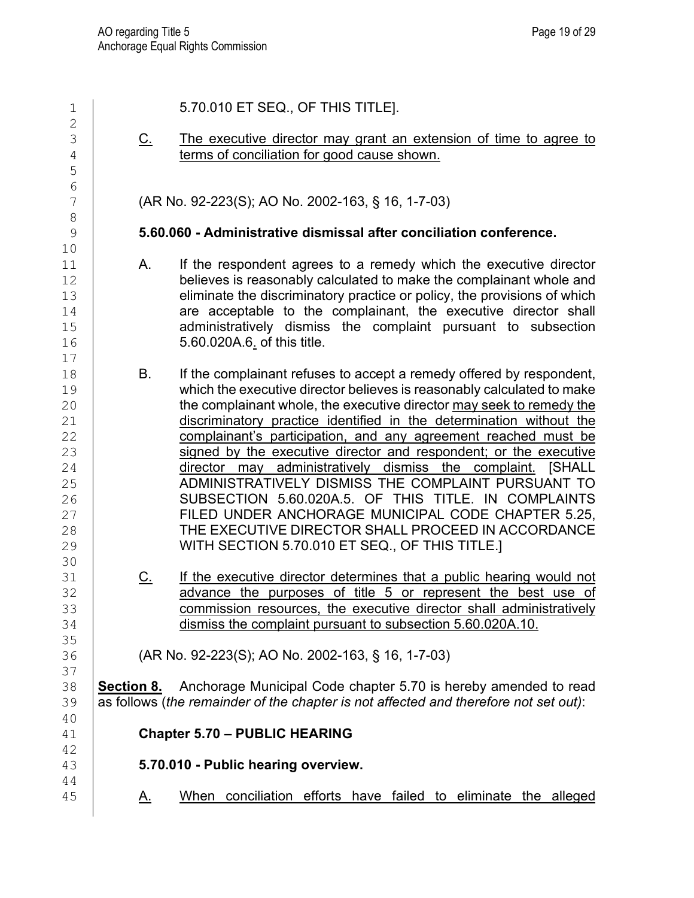| 1                                                                    |            | 5.70.010 ET SEQ., OF THIS TITLE].                                                                                                                                                                                                                                                                                                                                                                                                                                                                                                                                                                                                                                                                                                                                               |
|----------------------------------------------------------------------|------------|---------------------------------------------------------------------------------------------------------------------------------------------------------------------------------------------------------------------------------------------------------------------------------------------------------------------------------------------------------------------------------------------------------------------------------------------------------------------------------------------------------------------------------------------------------------------------------------------------------------------------------------------------------------------------------------------------------------------------------------------------------------------------------|
| $\overline{2}$<br>3<br>$\overline{4}$<br>5                           | <u>C.</u>  | The executive director may grant an extension of time to agree to<br>terms of conciliation for good cause shown.                                                                                                                                                                                                                                                                                                                                                                                                                                                                                                                                                                                                                                                                |
| 6<br>7<br>$\,8\,$                                                    |            | (AR No. 92-223(S); AO No. 2002-163, § 16, 1-7-03)                                                                                                                                                                                                                                                                                                                                                                                                                                                                                                                                                                                                                                                                                                                               |
| $\mathcal{G}$<br>10                                                  |            | 5.60.060 - Administrative dismissal after conciliation conference.                                                                                                                                                                                                                                                                                                                                                                                                                                                                                                                                                                                                                                                                                                              |
| 11<br>12<br>13<br>14<br>15<br>16<br>17                               | Α.         | If the respondent agrees to a remedy which the executive director<br>believes is reasonably calculated to make the complainant whole and<br>eliminate the discriminatory practice or policy, the provisions of which<br>are acceptable to the complainant, the executive director shall<br>administratively dismiss the complaint pursuant to subsection<br>5.60.020A.6. of this title.                                                                                                                                                                                                                                                                                                                                                                                         |
| 18<br>19<br>20<br>21<br>22<br>23<br>24<br>25<br>26<br>27<br>28<br>29 | В.         | If the complainant refuses to accept a remedy offered by respondent,<br>which the executive director believes is reasonably calculated to make<br>the complainant whole, the executive director may seek to remedy the<br>discriminatory practice identified in the determination without the<br>complainant's participation, and any agreement reached must be<br>signed by the executive director and respondent; or the executive<br>director may administratively dismiss the complaint. [SHALL<br>ADMINISTRATIVELY DISMISS THE COMPLAINT PURSUANT TO<br>SUBSECTION 5.60.020A.5. OF THIS TITLE. IN COMPLAINTS<br>FILED UNDER ANCHORAGE MUNICIPAL CODE CHAPTER 5.25,<br>THE EXECUTIVE DIRECTOR SHALL PROCEED IN ACCORDANCE<br>WITH SECTION 5.70.010 ET SEQ., OF THIS TITLE.] |
| 30<br>31<br>32<br>33<br>34<br>35                                     | <u>C.</u>  | If the executive director determines that a public hearing would not<br>advance the purposes of title 5 or represent the best use of<br>commission resources, the executive director shall administratively<br>dismiss the complaint pursuant to subsection 5.60.020A.10.                                                                                                                                                                                                                                                                                                                                                                                                                                                                                                       |
| 36<br>37                                                             |            | (AR No. 92-223(S); AO No. 2002-163, § 16, 1-7-03)                                                                                                                                                                                                                                                                                                                                                                                                                                                                                                                                                                                                                                                                                                                               |
| 38<br>39<br>40                                                       | Section 8. | Anchorage Municipal Code chapter 5.70 is hereby amended to read<br>as follows (the remainder of the chapter is not affected and therefore not set out):                                                                                                                                                                                                                                                                                                                                                                                                                                                                                                                                                                                                                         |
| 41                                                                   |            | <b>Chapter 5.70 - PUBLIC HEARING</b>                                                                                                                                                                                                                                                                                                                                                                                                                                                                                                                                                                                                                                                                                                                                            |
| 42<br>43                                                             |            | 5.70.010 - Public hearing overview.                                                                                                                                                                                                                                                                                                                                                                                                                                                                                                                                                                                                                                                                                                                                             |
| 44<br>45                                                             | <u>A.</u>  | When conciliation efforts have failed to eliminate the alleged                                                                                                                                                                                                                                                                                                                                                                                                                                                                                                                                                                                                                                                                                                                  |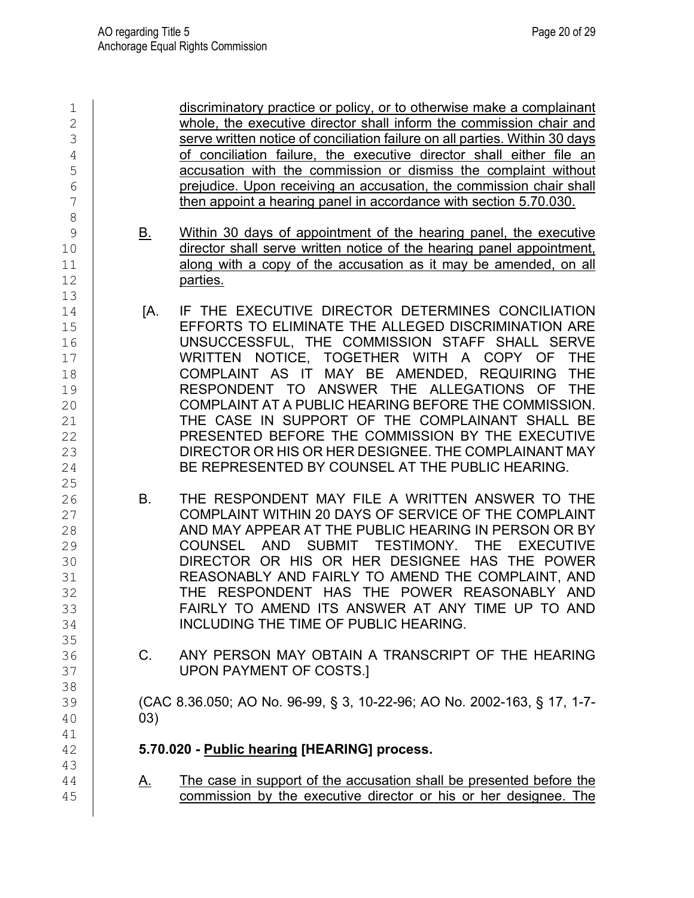| 1<br>$\overline{2}$<br>3<br>4<br>5<br>6<br>7<br>8              |           | discriminatory practice or policy, or to otherwise make a complainant<br>whole, the executive director shall inform the commission chair and<br>serve written notice of conciliation failure on all parties. Within 30 days<br>of conciliation failure, the executive director shall either file an<br>accusation with the commission or dismiss the complaint without<br>prejudice. Upon receiving an accusation, the commission chair shall<br>then appoint a hearing panel in accordance with section 5.70.030.                                                                   |
|----------------------------------------------------------------|-----------|--------------------------------------------------------------------------------------------------------------------------------------------------------------------------------------------------------------------------------------------------------------------------------------------------------------------------------------------------------------------------------------------------------------------------------------------------------------------------------------------------------------------------------------------------------------------------------------|
| 9<br>10<br>11<br>12<br>13                                      | <u>B.</u> | Within 30 days of appointment of the hearing panel, the executive<br>director shall serve written notice of the hearing panel appointment,<br>along with a copy of the accusation as it may be amended, on all<br>parties.                                                                                                                                                                                                                                                                                                                                                           |
| 14<br>15<br>16<br>17<br>18<br>19<br>20<br>21<br>22<br>23<br>24 | [A.       | IF THE EXECUTIVE DIRECTOR DETERMINES CONCILIATION<br>EFFORTS TO ELIMINATE THE ALLEGED DISCRIMINATION ARE<br>UNSUCCESSFUL, THE COMMISSION STAFF SHALL SERVE<br>WRITTEN NOTICE, TOGETHER WITH A COPY OF THE<br>COMPLAINT AS IT MAY BE AMENDED, REQUIRING THE<br>RESPONDENT TO ANSWER THE ALLEGATIONS OF THE<br>COMPLAINT AT A PUBLIC HEARING BEFORE THE COMMISSION.<br>THE CASE IN SUPPORT OF THE COMPLAINANT SHALL BE<br>PRESENTED BEFORE THE COMMISSION BY THE EXECUTIVE<br>DIRECTOR OR HIS OR HER DESIGNEE. THE COMPLAINANT MAY<br>BE REPRESENTED BY COUNSEL AT THE PUBLIC HEARING. |
| 25<br>26<br>27<br>28<br>29<br>30<br>31<br>32<br>33<br>34       | В.        | THE RESPONDENT MAY FILE A WRITTEN ANSWER TO THE<br>COMPLAINT WITHIN 20 DAYS OF SERVICE OF THE COMPLAINT<br>AND MAY APPEAR AT THE PUBLIC HEARING IN PERSON OR BY<br>SUBMIT TESTIMONY.<br>AND<br><b>COUNSEL</b><br><b>THE</b><br><b>EXECUTIVE</b><br>DIRECTOR OR HIS OR HER DESIGNEE HAS THE POWER<br>REASONABLY AND FAIRLY TO AMEND THE COMPLAINT, AND<br>THE RESPONDENT HAS THE POWER REASONABLY AND<br>FAIRLY TO AMEND ITS ANSWER AT ANY TIME UP TO AND<br>INCLUDING THE TIME OF PUBLIC HEARING.                                                                                    |
| 35<br>36<br>37                                                 | C.        | ANY PERSON MAY OBTAIN A TRANSCRIPT OF THE HEARING<br><b>UPON PAYMENT OF COSTS.]</b>                                                                                                                                                                                                                                                                                                                                                                                                                                                                                                  |
| 38<br>39<br>40<br>41                                           | 03)       | (CAC 8.36.050; AO No. 96-99, § 3, 10-22-96; AO No. 2002-163, § 17, 1-7-                                                                                                                                                                                                                                                                                                                                                                                                                                                                                                              |
| 42                                                             |           | 5.70.020 - Public hearing [HEARING] process.                                                                                                                                                                                                                                                                                                                                                                                                                                                                                                                                         |
| 43<br>44<br>45                                                 | <u>A.</u> | The case in support of the accusation shall be presented before the<br>commission by the executive director or his or her designee. The                                                                                                                                                                                                                                                                                                                                                                                                                                              |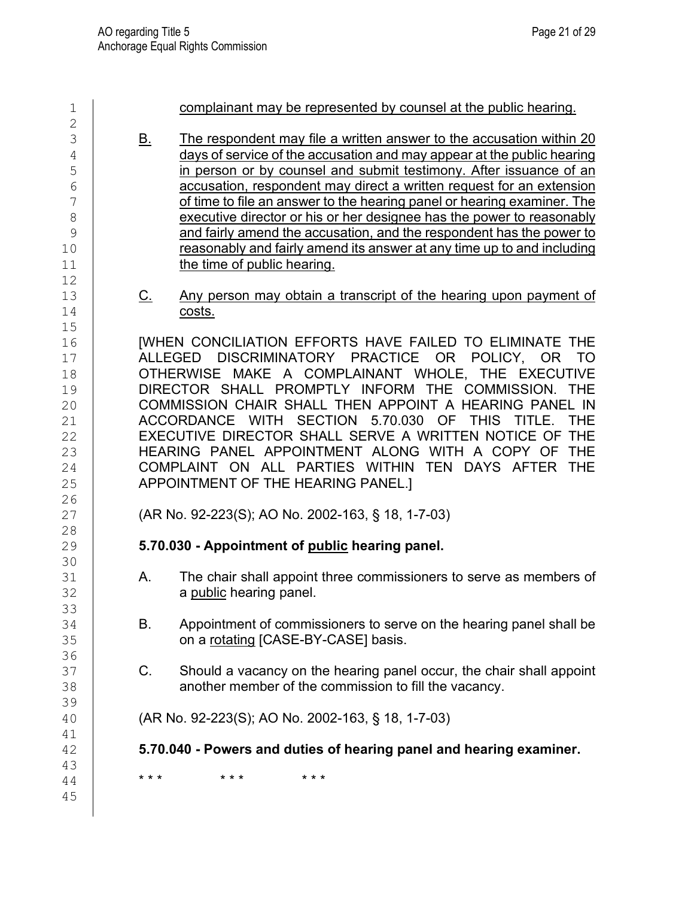| 1<br>$\overline{2}$                                                              |                | complainant may be represented by counsel at the public hearing.                                                                                                                                                                                                                                                                                                                                                                                                                                                                                                                                                                  |
|----------------------------------------------------------------------------------|----------------|-----------------------------------------------------------------------------------------------------------------------------------------------------------------------------------------------------------------------------------------------------------------------------------------------------------------------------------------------------------------------------------------------------------------------------------------------------------------------------------------------------------------------------------------------------------------------------------------------------------------------------------|
| 3<br>4<br>5<br>6<br>7<br>8<br>9<br>10<br>11<br>12                                | <u>B.</u>      | The respondent may file a written answer to the accusation within 20<br>days of service of the accusation and may appear at the public hearing<br>in person or by counsel and submit testimony. After issuance of an<br>accusation, respondent may direct a written request for an extension<br>of time to file an answer to the hearing panel or hearing examiner. The<br>executive director or his or her designee has the power to reasonably<br>and fairly amend the accusation, and the respondent has the power to<br>reasonably and fairly amend its answer at any time up to and including<br>the time of public hearing. |
| 13<br>14                                                                         | <u>C.</u>      | Any person may obtain a transcript of the hearing upon payment of<br>costs.                                                                                                                                                                                                                                                                                                                                                                                                                                                                                                                                                       |
| 15<br>16<br>17<br>18<br>19<br>20<br>21<br>22<br>23<br>24<br>25<br>26<br>27<br>28 | <b>ALLEGED</b> | [WHEN CONCILIATION EFFORTS HAVE FAILED TO ELIMINATE THE<br>DISCRIMINATORY PRACTICE OR POLICY, OR<br>TO<br>OTHERWISE MAKE A COMPLAINANT WHOLE, THE EXECUTIVE<br>DIRECTOR SHALL PROMPTLY INFORM THE COMMISSION. THE<br>COMMISSION CHAIR SHALL THEN APPOINT A HEARING PANEL IN<br>ACCORDANCE WITH SECTION 5.70.030<br>OF THIS<br><b>THE</b><br>TITLE.<br>EXECUTIVE DIRECTOR SHALL SERVE A WRITTEN NOTICE OF THE<br>HEARING PANEL APPOINTMENT ALONG WITH A COPY OF<br><b>THE</b><br>COMPLAINT ON ALL PARTIES WITHIN TEN DAYS AFTER THE<br>APPOINTMENT OF THE HEARING PANEL.]<br>(AR No. 92-223(S); AO No. 2002-163, § 18, 1-7-03)     |
| 29<br>30                                                                         |                | 5.70.030 - Appointment of public hearing panel.                                                                                                                                                                                                                                                                                                                                                                                                                                                                                                                                                                                   |
| 31<br>32<br>33                                                                   | А.             | The chair shall appoint three commissioners to serve as members of<br>a public hearing panel.                                                                                                                                                                                                                                                                                                                                                                                                                                                                                                                                     |
| 34<br>35<br>36                                                                   | В.             | Appointment of commissioners to serve on the hearing panel shall be<br>on a rotating [CASE-BY-CASE] basis.                                                                                                                                                                                                                                                                                                                                                                                                                                                                                                                        |
| 37<br>38                                                                         | C.             | Should a vacancy on the hearing panel occur, the chair shall appoint<br>another member of the commission to fill the vacancy.                                                                                                                                                                                                                                                                                                                                                                                                                                                                                                     |
| 39<br>40                                                                         |                | (AR No. 92-223(S); AO No. 2002-163, § 18, 1-7-03)                                                                                                                                                                                                                                                                                                                                                                                                                                                                                                                                                                                 |
| 41<br>42                                                                         |                | 5.70.040 - Powers and duties of hearing panel and hearing examiner.                                                                                                                                                                                                                                                                                                                                                                                                                                                                                                                                                               |
| 43<br>44<br>45                                                                   | * * *          | * * *<br>* * *                                                                                                                                                                                                                                                                                                                                                                                                                                                                                                                                                                                                                    |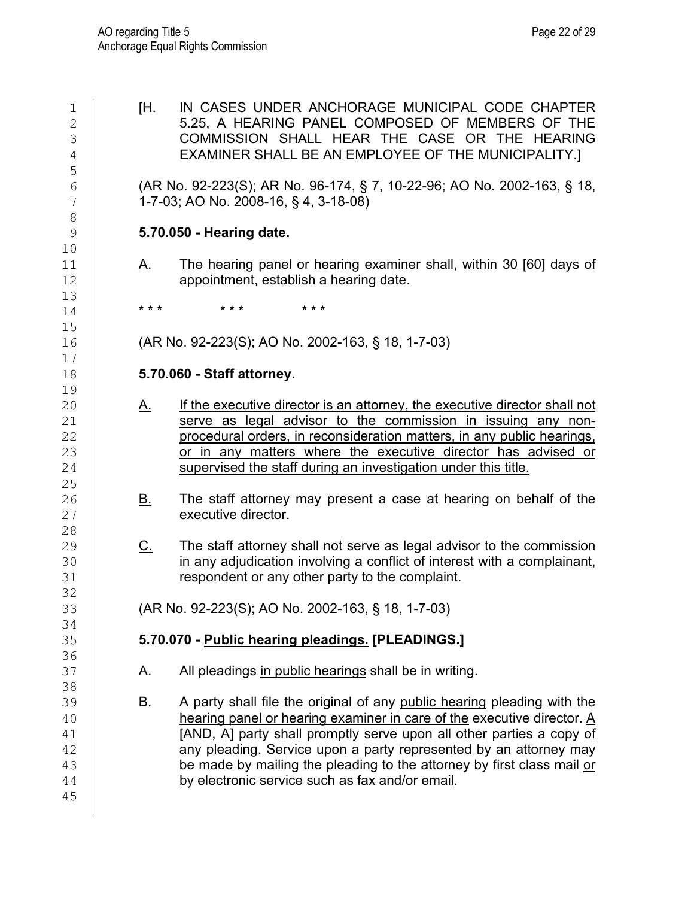5 8 10<br>11  $\begin{array}{c} 13 \\ 14 \end{array}$  $15$ <br> $16$  $\begin{array}{c} 17 \\ 18 \end{array}$ 19<br>20 25<br>26 28<br>29 32<br>33 34 36 38<br>39 45

1 **EXAMPLE IN CASES UNDER ANCHORAGE MUNICIPAL CODE CHAPTER**<br>2 **EXAMPLE COMPOSED OF MEMBERS OF THE** 2 5.25, A HEARING PANEL COMPOSED OF MEMBERS OF THE 3 3 COMMISSION SHALL HEAR THE CASE OR THE HEARING<br>4 EXAMINER SHALL BE AN EMPLOYEE OF THE MUNICIPALITY.1 EXAMINER SHALL BE AN EMPLOYEE OF THE MUNICIPALITY.]

6 (AR No. 92-223(S); AR No. 96-174, § 7, 10-22-96; AO No. 2002-163, § 18,<br>7 1-7-03; AO No. 2008-16, § 4, 3-18-08) 7 1-7-03; AO No. 2008-16, § 4, 3-18-08)

## 9 **5.70.050 - Hearing date.**

11  $\vert$  A. The hearing panel or hearing examiner shall, within  $\frac{30}{12}$  [60] days of appointment, establish a hearing date. appointment, establish a hearing date.

14 **\*\*\* \*\*\* \*\*\*** \*\*\*

16 (AR No. 92-223(S); AO No. 2002-163, § 18, 1-7-03)

# 18 **5.70.060 - Staff attorney.**

- 20 A. If the executive director is an attorney, the executive director shall not <br>21 Serve as legal advisor to the commission in issuing any non-21 serve as legal advisor to the commission in issuing any non-<br>22 procedural orders in reconsideration matters in any public hearings. procedural orders, in reconsideration matters, in any public hearings, 23 or in any matters where the executive director has advised or  $24$  supervised the staff during an investigation under this title. supervised the staff during an investigation under this title.
- $26$  B. The staff attorney may present a case at hearing on behalf of the executive director. executive director.
- $29$  C. The staff attorney shall not serve as legal advisor to the commission<br>30 **C. The any adjudication involving a conflict of interest with a complainant**, 30 in any adjudication involving a conflict of interest with a complainant,<br>31 **ince in the contract of the complaint**. respondent or any other party to the complaint.

33 (AR No. 92-223(S); AO No. 2002-163, § 18, 1-7-03)

# 35 **5.70.070 - Public hearing pleadings. [PLEADINGS.]**

- 37 | A. All pleadings in public hearings shall be in writing.
- 39 B. A party shall file the original of any <u>public hearing</u> pleading with the<br>40 **B. A hearing panel or hearing examiner in care of the executive director. A**  $\frac{40}{41}$  hearing panel or hearing examiner in care of the executive director. <u>A</u><br>(AND, A) party shall promptly serve upon all other parties a copy of 41 [AND, A] party shall promptly serve upon all other parties a copy of 42 any pleading. Service upon a party represented by an attorney may 43 be made by mailing the pleading to the attorney by first class mail <u>or</u>  $\frac{44}{9}$ by electronic service such as fax and/or email.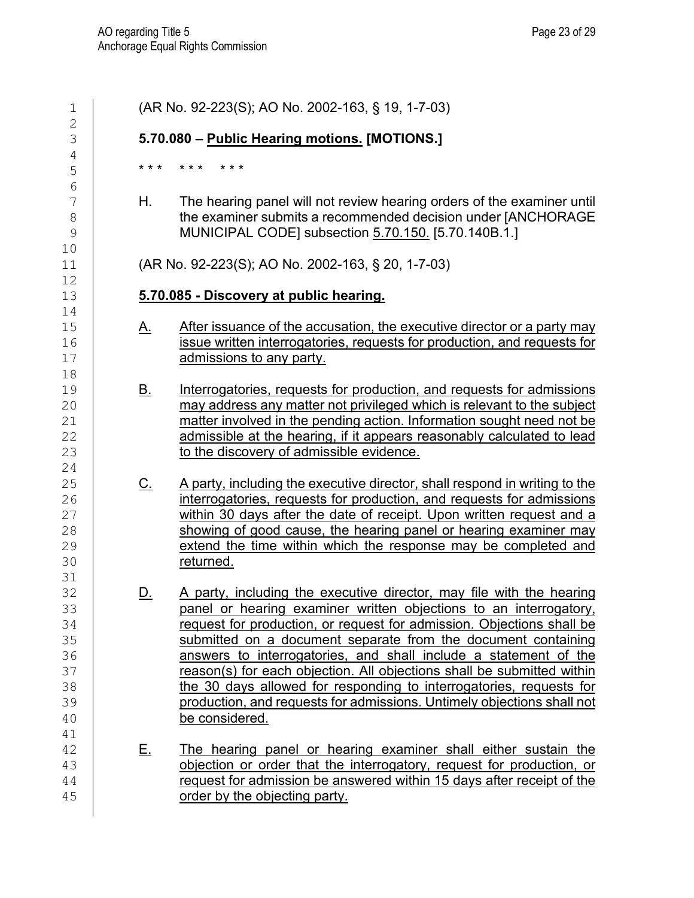| $1\,$                                                    |           | (AR No. 92-223(S); AO No. 2002-163, § 19, 1-7-03)                                                                                                                                                                                                                                                                                                                                                                                                                                                                                                                                                    |
|----------------------------------------------------------|-----------|------------------------------------------------------------------------------------------------------------------------------------------------------------------------------------------------------------------------------------------------------------------------------------------------------------------------------------------------------------------------------------------------------------------------------------------------------------------------------------------------------------------------------------------------------------------------------------------------------|
| $\overline{2}$<br>3                                      |           | 5.70.080 - Public Hearing motions. [MOTIONS.]                                                                                                                                                                                                                                                                                                                                                                                                                                                                                                                                                        |
| 4<br>5<br>6                                              | * * *     | * * *<br>* * *                                                                                                                                                                                                                                                                                                                                                                                                                                                                                                                                                                                       |
| 7<br>$\,8\,$<br>9<br>10                                  | Н.        | The hearing panel will not review hearing orders of the examiner until<br>the examiner submits a recommended decision under [ANCHORAGE<br>MUNICIPAL CODE] subsection 5.70.150. [5.70.140B.1.]                                                                                                                                                                                                                                                                                                                                                                                                        |
| 11<br>12                                                 |           | (AR No. 92-223(S); AO No. 2002-163, § 20, 1-7-03)                                                                                                                                                                                                                                                                                                                                                                                                                                                                                                                                                    |
| 13<br>14                                                 |           | 5.70.085 - Discovery at public hearing.                                                                                                                                                                                                                                                                                                                                                                                                                                                                                                                                                              |
| 15<br>16<br>17<br>18                                     | <u>A.</u> | After issuance of the accusation, the executive director or a party may<br>issue written interrogatories, requests for production, and requests for<br>admissions to any party.                                                                                                                                                                                                                                                                                                                                                                                                                      |
| 19<br>20<br>21<br>22<br>23<br>24                         | <u>B.</u> | Interrogatories, requests for production, and requests for admissions<br>may address any matter not privileged which is relevant to the subject<br>matter involved in the pending action. Information sought need not be<br>admissible at the hearing, if it appears reasonably calculated to lead<br>to the discovery of admissible evidence.                                                                                                                                                                                                                                                       |
| 25<br>26<br>27<br>28<br>29<br>30<br>31                   | <u>C.</u> | A party, including the executive director, shall respond in writing to the<br>interrogatories, requests for production, and requests for admissions<br>within 30 days after the date of receipt. Upon written request and a<br>showing of good cause, the hearing panel or hearing examiner may<br>extend the time within which the response may be completed and<br>returned.                                                                                                                                                                                                                       |
| 32<br>33<br>34<br>35<br>36<br>37<br>38<br>39<br>40<br>41 | <u>D.</u> | A party, including the executive director, may file with the hearing<br>panel or hearing examiner written objections to an interrogatory,<br>request for production, or request for admission. Objections shall be<br>submitted on a document separate from the document containing<br>answers to interrogatories, and shall include a statement of the<br>reason(s) for each objection. All objections shall be submitted within<br>the 30 days allowed for responding to interrogatories, requests for<br>production, and requests for admissions. Untimely objections shall not<br>be considered. |
| 42<br>43<br>44<br>45                                     | <u>E.</u> | The hearing panel or hearing examiner shall either sustain the<br>objection or order that the interrogatory, request for production, or<br>request for admission be answered within 15 days after receipt of the<br>order by the objecting party.                                                                                                                                                                                                                                                                                                                                                    |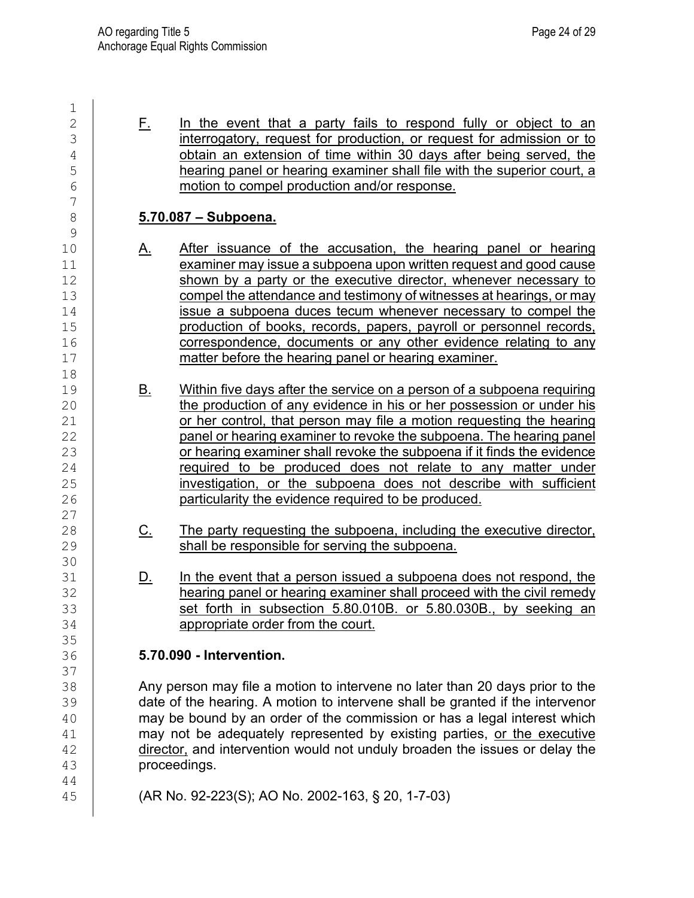$\frac{1}{2}$  $\begin{array}{c|c|c|c|c} 2 & \text{F.} & \text{In the event that a party fails to respond fully or object to an} \end{array}$  interrogatory, request for production, or request for admission or to 3 interrogatory, request for production, or request for admission or to<br>
4 bobtain an extension of time within 30 davs after being served, the  $\frac{4}{5}$  obtain an extension of time within 30 days after being served, the buy bearing panel or hearing examiner shall file with the superior court, a 5 hearing panel or hearing examiner shall file with the superior court, a<br>
f in the superior court, a<br>
f in the superior complete production and/or response. motion to compel production and/or response. 7 8 **5.70.087 – Subpoena.**  $\frac{9}{10}$ 10 A. After issuance of the accusation, the hearing panel or hearing<br>11 examiner may issue a subpoena upon written request and good cause 11 examiner may issue a subpoena upon written request and good cause<br>
12 shown by a party or the executive director, whenever necessary to shown by a party or the executive director, whenever necessary to 13 compel the attendance and testimony of witnesses at hearings, or may<br>14 issue a subpoena duces tecum whenever necessary to compel the 14 issue a subpoena duces tecum whenever necessary to compel the<br>15 **incontract of the starting of the starting of books**, records, papers, payroll or personnel records. 15 **construction of books, records, papers, payroll or personnel records,**<br>16 **correspondence, documents or any other evidence relating to any** 16 correspondence, documents or any other evidence relating to any<br>17 matter before the hearing panel or hearing examiner. matter before the hearing panel or hearing examiner. 18<br>19 19 B. Within five days after the service on a person of a subpoena requiring<br>20 **B. Constants in the production of any evidence in his or her possession or under his** 20 the production of any evidence in his or her possession or under his 21 feature or her control, that person may file a motion requesting the hearing 21 or her control, that person may file a motion requesting the hearing<br>22 panel or hearing examiner to revoke the subpoena. The hearing panel panel or hearing examiner to revoke the subpoena. The hearing panel 23 cor hearing examiner shall revoke the subpoena if it finds the evidence<br>24 can be produced does not relate to any matter under 24 **required to be produced does not relate to any matter under**<br>25 **investigation, or the subpoena does not describe with sufficient** 25 investigation, or the subpoena does not describe with sufficient<br>26 **interpretentational particularity the evidence required to be produced.** particularity the evidence required to be produced.  $\begin{array}{c} 27 \\ 28 \end{array}$ 28 C. The party requesting the subpoena, including the executive director,<br>29 Shall be responsible for serving the subpoena. shall be responsible for serving the subpoena. 30<br>31 31 D. In the event that a person issued a subpoena does not respond, the 32 state of the aring panel or hearing examiner shall proceed with the civil remedy 32 hearing panel or hearing examiner shall proceed with the civil remedy<br>33 set forth in subsection 5.80.010B, or 5.80.030B, by seeking an 33 set forth in subsection 5.80.010B. or 5.80.030B., by seeking an appropriate order from the court. appropriate order from the court. 35<br>36 36 **5.70.090 - Intervention.**  37<br>38 38 Any person may file a motion to intervene no later than 20 days prior to the<br>39 date of the hearing. A motion to intervene shall be granted if the intervenor 39 date of the hearing. A motion to intervene shall be granted if the intervenor<br>40 may be bound by an order of the commission or has a legal interest which 40 may be bound by an order of the commission or has a legal interest which<br>41 may not be adequately represented by existing parties, or the executive 41 may not be adequately represented by existing parties, <u>or the executive</u><br>42 director, and intervention would not unduly broaden the issues or delay the  $\frac{42}{43}$  director, and intervention would not unduly broaden the issues or delay the proceedings. proceedings. 44 45 (AR No. 92-223(S); AO No. 2002-163, § 20, 1-7-03)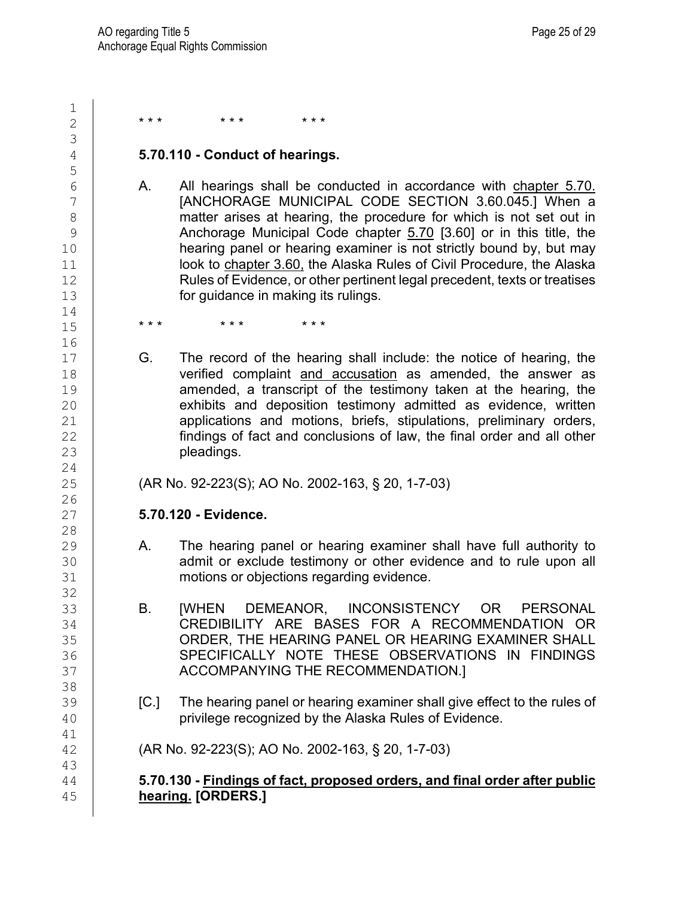| 1                                       |                                                                                                                                                                                                                                                                                                                                                                                                                                                                                                         |
|-----------------------------------------|---------------------------------------------------------------------------------------------------------------------------------------------------------------------------------------------------------------------------------------------------------------------------------------------------------------------------------------------------------------------------------------------------------------------------------------------------------------------------------------------------------|
| $\overline{2}$                          | * * *<br>* * *<br>* * *                                                                                                                                                                                                                                                                                                                                                                                                                                                                                 |
| 3                                       |                                                                                                                                                                                                                                                                                                                                                                                                                                                                                                         |
| $\overline{4}$                          | 5.70.110 - Conduct of hearings.                                                                                                                                                                                                                                                                                                                                                                                                                                                                         |
| 5<br>6<br>7<br>8<br>9<br>10<br>11<br>12 | All hearings shall be conducted in accordance with chapter 5.70.<br>Α.<br>[ANCHORAGE MUNICIPAL CODE SECTION 3.60.045.] When a<br>matter arises at hearing, the procedure for which is not set out in<br>Anchorage Municipal Code chapter 5.70 [3.60] or in this title, the<br>hearing panel or hearing examiner is not strictly bound by, but may<br>look to chapter 3.60, the Alaska Rules of Civil Procedure, the Alaska<br>Rules of Evidence, or other pertinent legal precedent, texts or treatises |
| 13<br>14                                | for guidance in making its rulings.                                                                                                                                                                                                                                                                                                                                                                                                                                                                     |
| 15                                      | * * *<br>* * *<br>* * *                                                                                                                                                                                                                                                                                                                                                                                                                                                                                 |
| 16<br>17                                | G.<br>The record of the hearing shall include: the notice of hearing, the                                                                                                                                                                                                                                                                                                                                                                                                                               |
| 18<br>19<br>20<br>21<br>22<br>23<br>24  | verified complaint and accusation as amended, the answer as<br>amended, a transcript of the testimony taken at the hearing, the<br>exhibits and deposition testimony admitted as evidence, written<br>applications and motions, briefs, stipulations, preliminary orders,<br>findings of fact and conclusions of law, the final order and all other<br>pleadings.                                                                                                                                       |
| 25                                      | (AR No. 92-223(S); AO No. 2002-163, § 20, 1-7-03)                                                                                                                                                                                                                                                                                                                                                                                                                                                       |
| 26<br>27<br>28                          | 5.70.120 - Evidence.                                                                                                                                                                                                                                                                                                                                                                                                                                                                                    |
| 29<br>30<br>31<br>32                    | The hearing panel or hearing examiner shall have full authority to<br>Α.<br>admit or exclude testimony or other evidence and to rule upon all<br>motions or objections regarding evidence.                                                                                                                                                                                                                                                                                                              |
| 33<br>34<br>35<br>36<br>37              | [WHEN DEMEANOR, INCONSISTENCY OR<br><b>PERSONAL</b><br>В.<br>CREDIBILITY ARE BASES FOR A RECOMMENDATION OR<br>ORDER, THE HEARING PANEL OR HEARING EXAMINER SHALL<br>SPECIFICALLY NOTE THESE OBSERVATIONS IN FINDINGS<br>ACCOMPANYING THE RECOMMENDATION.]                                                                                                                                                                                                                                               |
| 38<br>39<br>40                          | The hearing panel or hearing examiner shall give effect to the rules of<br>[C.]<br>privilege recognized by the Alaska Rules of Evidence.                                                                                                                                                                                                                                                                                                                                                                |
| 41<br>42<br>43                          | (AR No. 92-223(S); AO No. 2002-163, § 20, 1-7-03)                                                                                                                                                                                                                                                                                                                                                                                                                                                       |
| 44<br>45                                | 5.70.130 - Findings of fact, proposed orders, and final order after public<br>hearing. [ORDERS.]                                                                                                                                                                                                                                                                                                                                                                                                        |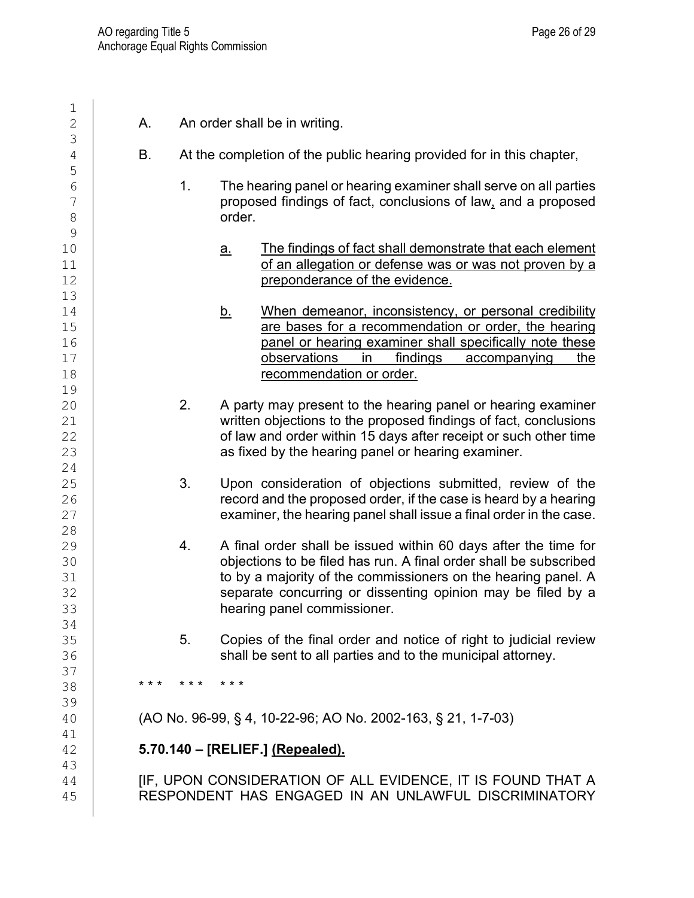| 1                                            |               |                                                                                                                                                                                                                                                                                                     |
|----------------------------------------------|---------------|-----------------------------------------------------------------------------------------------------------------------------------------------------------------------------------------------------------------------------------------------------------------------------------------------------|
| $\overline{2}$<br>3                          | Α.            | An order shall be in writing.                                                                                                                                                                                                                                                                       |
| $\overline{4}$                               | Β.            | At the completion of the public hearing provided for in this chapter,                                                                                                                                                                                                                               |
| 5<br>6<br>$\overline{\phantom{a}}$<br>8<br>9 | 1.            | The hearing panel or hearing examiner shall serve on all parties<br>proposed findings of fact, conclusions of law, and a proposed<br>order.                                                                                                                                                         |
| 10<br>11<br>12<br>13                         |               | The findings of fact shall demonstrate that each element<br><u>a.</u><br>of an allegation or defense was or was not proven by a<br>preponderance of the evidence.                                                                                                                                   |
| 14<br>15<br>16<br>17<br>18<br>19             |               | <u>b.</u><br>When demeanor, inconsistency, or personal credibility<br>are bases for a recommendation or order, the hearing<br>panel or hearing examiner shall specifically note these<br>observations<br>findings<br>in<br>accompanying<br>the<br>recommendation or order.                          |
| 20<br>21<br>22<br>23<br>24                   | 2.            | A party may present to the hearing panel or hearing examiner<br>written objections to the proposed findings of fact, conclusions<br>of law and order within 15 days after receipt or such other time<br>as fixed by the hearing panel or hearing examiner.                                          |
| 25<br>26<br>27<br>28                         | 3.            | Upon consideration of objections submitted, review of the<br>record and the proposed order, if the case is heard by a hearing<br>examiner, the hearing panel shall issue a final order in the case.                                                                                                 |
| 29<br>30<br>31<br>32<br>33                   | 4.            | A final order shall be issued within 60 days after the time for<br>objections to be filed has run. A final order shall be subscribed<br>to by a majority of the commissioners on the hearing panel. A<br>separate concurring or dissenting opinion may be filed by a<br>hearing panel commissioner. |
| 34<br>35<br>36                               | 5.            | Copies of the final order and notice of right to judicial review<br>shall be sent to all parties and to the municipal attorney.                                                                                                                                                                     |
| 37<br>38<br>39                               | * * * * * * * | $* * *$                                                                                                                                                                                                                                                                                             |
| 40<br>41                                     |               | (AO No. 96-99, § 4, 10-22-96; AO No. 2002-163, § 21, 1-7-03)                                                                                                                                                                                                                                        |
| 42<br>43                                     |               | 5.70.140 - [RELIEF.] (Repealed).                                                                                                                                                                                                                                                                    |
| 44<br>45                                     |               | [IF, UPON CONSIDERATION OF ALL EVIDENCE, IT IS FOUND THAT A<br>RESPONDENT HAS ENGAGED IN AN UNLAWFUL DISCRIMINATORY                                                                                                                                                                                 |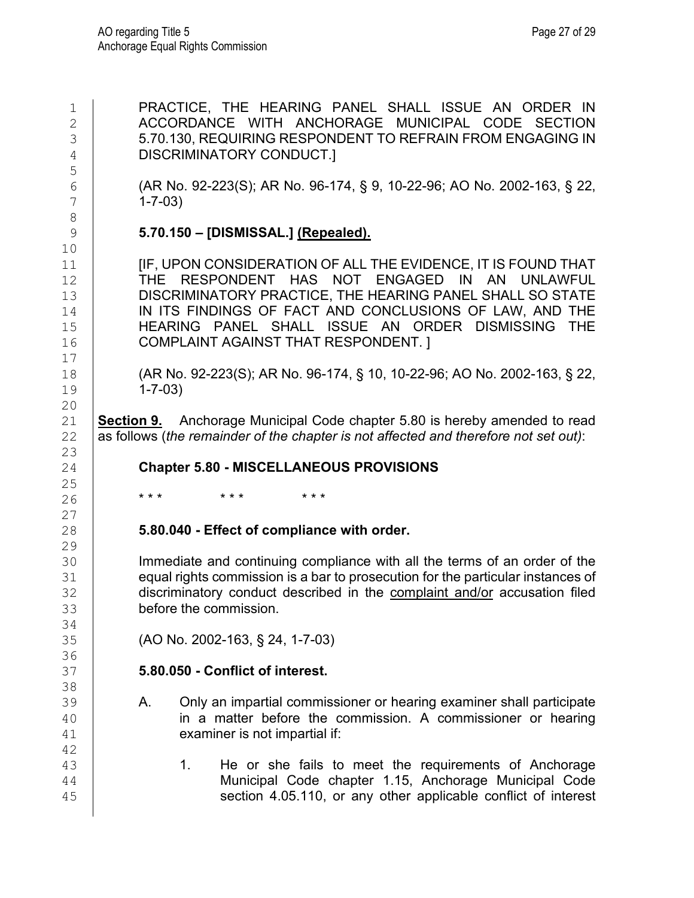| $\mathbf 1$<br>$\overline{2}$<br>3<br>$\sqrt{4}$ | PRACTICE, THE HEARING PANEL SHALL ISSUE AN ORDER IN<br>ACCORDANCE WITH ANCHORAGE MUNICIPAL CODE<br><b>SECTION</b><br>5.70.130, REQUIRING RESPONDENT TO REFRAIN FROM ENGAGING IN<br><b>DISCRIMINATORY CONDUCT.]</b>                                                                                                                                   |
|--------------------------------------------------|------------------------------------------------------------------------------------------------------------------------------------------------------------------------------------------------------------------------------------------------------------------------------------------------------------------------------------------------------|
| 5<br>6<br>7<br>$\,8\,$                           | (AR No. 92-223(S); AR No. 96-174, § 9, 10-22-96; AO No. 2002-163, § 22,<br>$1 - 7 - 03$                                                                                                                                                                                                                                                              |
| $\mathsf 9$                                      | 5.70.150 - [DISMISSAL.] (Repealed).                                                                                                                                                                                                                                                                                                                  |
| 10<br>11<br>12<br>13<br>14<br>15<br>16<br>17     | [IF, UPON CONSIDERATION OF ALL THE EVIDENCE, IT IS FOUND THAT<br>THE RESPONDENT HAS NOT ENGAGED IN AN UNLAWFUL<br>DISCRIMINATORY PRACTICE, THE HEARING PANEL SHALL SO STATE<br>IN ITS FINDINGS OF FACT AND CONCLUSIONS OF LAW, AND THE<br>HEARING PANEL SHALL ISSUE AN ORDER DISMISSING<br><b>THE</b><br><b>COMPLAINT AGAINST THAT RESPONDENT. 1</b> |
| 18<br>19                                         | (AR No. 92-223(S); AR No. 96-174, § 10, 10-22-96; AO No. 2002-163, § 22,<br>$1 - 7 - 03$                                                                                                                                                                                                                                                             |
| 20<br>21<br>22                                   | Anchorage Municipal Code chapter 5.80 is hereby amended to read<br>Section 9.<br>as follows (the remainder of the chapter is not affected and therefore not set out):                                                                                                                                                                                |
| 23<br>24                                         | <b>Chapter 5.80 - MISCELLANEOUS PROVISIONS</b>                                                                                                                                                                                                                                                                                                       |
| 25                                               |                                                                                                                                                                                                                                                                                                                                                      |
| 26                                               | * * *<br>* * *<br>* * *                                                                                                                                                                                                                                                                                                                              |
| 27<br>28                                         | 5.80.040 - Effect of compliance with order.                                                                                                                                                                                                                                                                                                          |
| 29<br>30<br>31<br>32<br>33                       | Immediate and continuing compliance with all the terms of an order of the<br>equal rights commission is a bar to prosecution for the particular instances of<br>discriminatory conduct described in the complaint and/or accusation filed<br>before the commission.                                                                                  |
| 34<br>35                                         | (AO No. 2002-163, § 24, 1-7-03)                                                                                                                                                                                                                                                                                                                      |
| 36<br>37                                         | 5.80.050 - Conflict of interest.                                                                                                                                                                                                                                                                                                                     |
| 38<br>39<br>40<br>41<br>42                       | Only an impartial commissioner or hearing examiner shall participate<br>Α.<br>in a matter before the commission. A commissioner or hearing<br>examiner is not impartial if:                                                                                                                                                                          |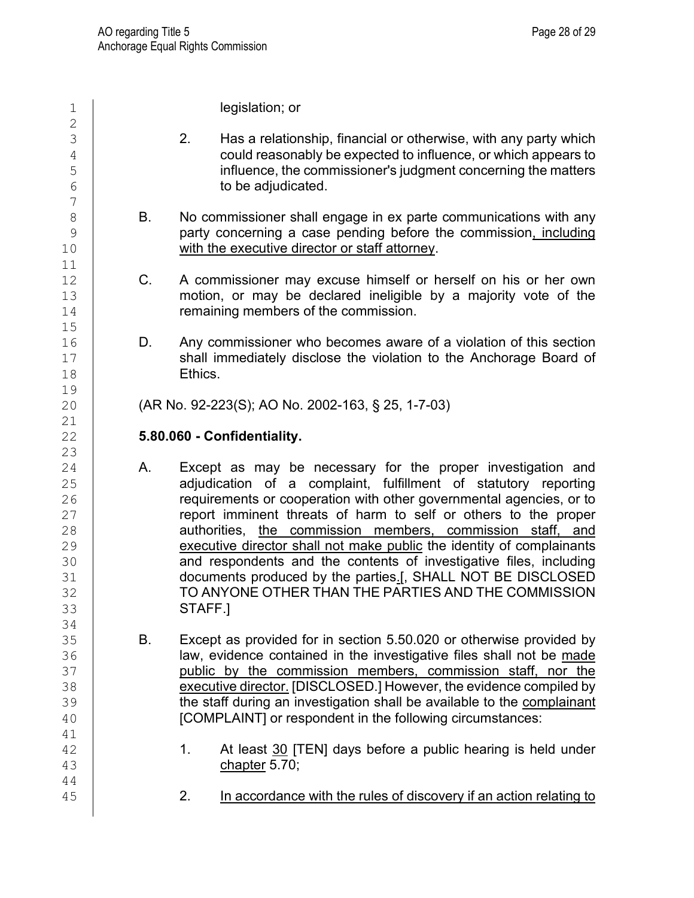1 **legislation; or**  $\frac{2}{3}$  $\begin{array}{c|c} 3 & 2. & \text{Has a relationship, financial or otherwise, with any party which could reasonably be expected to influence. or which appears to$ 4 could reasonably be expected to influence, or which appears to<br>influence, the commissioner's iudament concerning the matters 5 influence, the commissioner's judgment concerning the matters<br>
to be adiudicated. to be adjudicated. 7 8 B. No commissioner shall engage in ex parte communications with any<br>9 **B. Concerting a case pending before the commission.** including 9 party concerning a case pending before the commission<u>, including</u><br>10 **buying the executive director or staff attornev**. with the executive director or staff attorney. 11<br>12 12 C. A commissioner may excuse himself or herself on his or her own 13 motion, or may be declared ineligible by a majority vote of the 14 remaining members of the commission.  $15$ <br> $16$ 16 D. Any commissioner who becomes aware of a violation of this section<br>17 Shall immediately disclose the violation to the Anchorage Board of 17 Shall immediately disclose the violation to the Anchorage Board of 18 Ethics. 19<br>20 20 (AR No. 92-223(S); AO No. 2002-163, § 25, 1-7-03) 21<br>22 22 **5.80.060 - Confidentiality.**  23<br>24 24 A. Except as may be necessary for the proper investigation and 25 adjudication of a complaint, fulfillment of statutory reporting<br>26 complements or cooperation with other governmental agencies or to 26 **requirements or cooperation with other governmental agencies, or to**<br>27 **report imminent threats of harm to self or others to the proper** 27 **report imminent threats of harm to self or others to the proper**<br>28 **authorities**, the commission members, commission staff, and 28 authorities, the commission members, commission staff, and<br>29 executive director shall not make public the identity of complainants 29 executive director shall not make public the identity of complainants<br>30 **executive director shall not make public** the identity of complainants 30 and respondents and the contents of investigative files, including<br>31 documents produced by the parties. I. SHALL NOT BE DISCLOSED 31 documents produced by the parties<u>.[,</u> SHALL NOT BE DISCLOSED<br>32 **TO ANYONE OTHER THAN THE PARTIES AND THE COMMISSION** 32 TO ANYONE OTHER THAN THE PARTIES AND THE COMMISSION<br>33 STAFF.1 STAFF.] 34<br>35 35 B. Except as provided for in section 5.50.020 or otherwise provided by<br>36 **B. Except as provided for in the investigative files shall not be made** 36 **law, evidence contained in the investigative files shall not be <u>made</u><br>37 <b>container public by the commission members, commission staff, nor the** 37 **public by the commission members, commission staff, nor the**<br>38 **executive director. [DISCLOSED.] However, the evidence compiled by** 38 executive director. [DISCLOSED.] However, the evidence compiled by<br>39 the staff during an investigation shall be available to the complainant 39 **the staff during an investigation shall be available to the <u>complainant dotcomplainant</u><br>40 <b>COMPLAINTI** or respondent in the following circumstances: [COMPLAINT] or respondent in the following circumstances: 41<br>42  $\begin{array}{c|c} 42 & 1. & \text{At least } \underline{30} \text{ [TEN]} \text{ days before a public hearing is held under} \\ 43 & \text{chacter 5.70:} \end{array}$ chapter  $5.70$ ; 44 45 | 2. In accordance with the rules of discovery if an action relating to